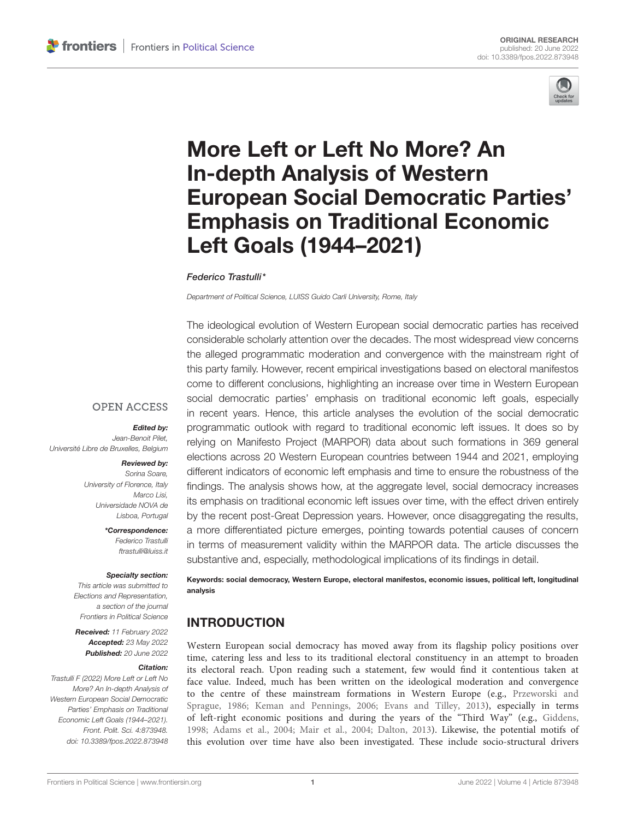

# More Left or Left No More? An In-depth Analysis of Western [European Social Democratic Parties'](https://www.frontiersin.org/articles/10.3389/fpos.2022.873948/full) Emphasis on Traditional Economic Left Goals (1944–2021)

### Federico Trastulli\*

Department of Political Science, LUISS Guido Carli University, Rome, Italy

The ideological evolution of Western European social democratic parties has received considerable scholarly attention over the decades. The most widespread view concerns the alleged programmatic moderation and convergence with the mainstream right of this party family. However, recent empirical investigations based on electoral manifestos come to different conclusions, highlighting an increase over time in Western European social democratic parties' emphasis on traditional economic left goals, especially in recent years. Hence, this article analyses the evolution of the social democratic programmatic outlook with regard to traditional economic left issues. It does so by relying on Manifesto Project (MARPOR) data about such formations in 369 general elections across 20 Western European countries between 1944 and 2021, employing different indicators of economic left emphasis and time to ensure the robustness of the findings. The analysis shows how, at the aggregate level, social democracy increases its emphasis on traditional economic left issues over time, with the effect driven entirely by the recent post-Great Depression years. However, once disaggregating the results, a more differentiated picture emerges, pointing towards potential causes of concern in terms of measurement validity within the MARPOR data. The article discusses the substantive and, especially, methodological implications of its findings in detail.

Keywords: social democracy, Western Europe, electoral manifestos, economic issues, political left, longitudinal analysis

# INTRODUCTION

Western European social democracy has moved away from its flagship policy positions over time, catering less and less to its traditional electoral constituency in an attempt to broaden its electoral reach. Upon reading such a statement, few would find it contentious taken at face value. Indeed, much has been written on the ideological moderation and convergence to the centre of these mainstream formations in Western Europe (e.g., Przeworski and Sprague, [1986;](#page-15-0) [Keman and Pennings, 2006;](#page-15-1) [Evans and Tilley, 2013\)](#page-14-0), especially in terms of left-right economic positions and during the years of the "Third Way" (e.g., [Giddens,](#page-14-1) [1998;](#page-14-1) [Adams et al., 2004;](#page-13-0) [Mair et al., 2004;](#page-15-2) [Dalton, 2013\)](#page-14-2). Likewise, the potential motifs of this evolution over time have also been investigated. These include socio-structural drivers

### **OPEN ACCESS**

#### Edited by:

Jean-Benoit Pilet, Université Libre de Bruxelles, Belgium

#### Reviewed by:

Sorina Soare, University of Florence, Italy Marco Lisi Universidade NOVA de Lisboa, Portugal

> \*Correspondence: Federico Trastulli [ftrastulli@luiss.it](mailto:ftrastulli@luiss.it)

#### Specialty section:

This article was submitted to Elections and Representation, a section of the journal Frontiers in Political Science

Received: 11 February 2022 Accepted: 23 May 2022 Published: 20 June 2022

#### Citation:

Trastulli F (2022) More Left or Left No More? An In-depth Analysis of Western European Social Democratic Parties' Emphasis on Traditional Economic Left Goals (1944–2021). Front. Polit. Sci. 4:873948. doi: [10.3389/fpos.2022.873948](https://doi.org/10.3389/fpos.2022.873948)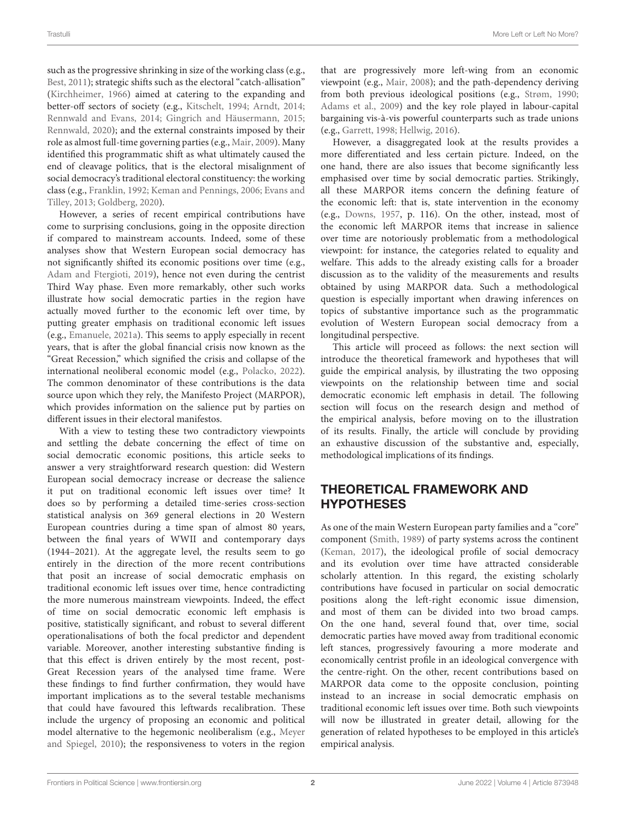such as the progressive shrinking in size of the working class (e.g., [Best, 2011\)](#page-14-3); strategic shifts such as the electoral "catch-allisation" [\(Kirchheimer, 1966\)](#page-15-3) aimed at catering to the expanding and better-off sectors of society (e.g., [Kitschelt, 1994;](#page-15-4) [Arndt, 2014;](#page-13-1) [Rennwald and Evans, 2014;](#page-15-5) [Gingrich and Häusermann, 2015;](#page-14-4) [Rennwald, 2020\)](#page-15-6); and the external constraints imposed by their role as almost full-time governing parties (e.g., [Mair, 2009\)](#page-15-7). Many identified this programmatic shift as what ultimately caused the end of cleavage politics, that is the electoral misalignment of social democracy's traditional electoral constituency: the working class (e.g., [Franklin, 1992;](#page-14-5) [Keman and Pennings, 2006;](#page-15-1) Evans and Tilley, [2013;](#page-14-0) [Goldberg, 2020\)](#page-14-6).

However, a series of recent empirical contributions have come to surprising conclusions, going in the opposite direction if compared to mainstream accounts. Indeed, some of these analyses show that Western European social democracy has not significantly shifted its economic positions over time (e.g., [Adam and Ftergioti, 2019\)](#page-13-2), hence not even during the centrist Third Way phase. Even more remarkably, other such works illustrate how social democratic parties in the region have actually moved further to the economic left over time, by putting greater emphasis on traditional economic left issues (e.g., [Emanuele, 2021a\)](#page-14-7). This seems to apply especially in recent years, that is after the global financial crisis now known as the "Great Recession," which signified the crisis and collapse of the international neoliberal economic model (e.g., [Polacko, 2022\)](#page-15-8). The common denominator of these contributions is the data source upon which they rely, the Manifesto Project (MARPOR), which provides information on the salience put by parties on different issues in their electoral manifestos.

With a view to testing these two contradictory viewpoints and settling the debate concerning the effect of time on social democratic economic positions, this article seeks to answer a very straightforward research question: did Western European social democracy increase or decrease the salience it put on traditional economic left issues over time? It does so by performing a detailed time-series cross-section statistical analysis on 369 general elections in 20 Western European countries during a time span of almost 80 years, between the final years of WWII and contemporary days (1944–2021). At the aggregate level, the results seem to go entirely in the direction of the more recent contributions that posit an increase of social democratic emphasis on traditional economic left issues over time, hence contradicting the more numerous mainstream viewpoints. Indeed, the effect of time on social democratic economic left emphasis is positive, statistically significant, and robust to several different operationalisations of both the focal predictor and dependent variable. Moreover, another interesting substantive finding is that this effect is driven entirely by the most recent, post-Great Recession years of the analysed time frame. Were these findings to find further confirmation, they would have important implications as to the several testable mechanisms that could have favoured this leftwards recalibration. These include the urgency of proposing an economic and political model alternative to the hegemonic neoliberalism (e.g., Meyer and Spiegel, [2010\)](#page-15-9); the responsiveness to voters in the region

that are progressively more left-wing from an economic viewpoint (e.g., [Mair, 2008\)](#page-15-10); and the path-dependency deriving from both previous ideological positions (e.g., [Strøm, 1990;](#page-15-11) [Adams et al., 2009\)](#page-13-3) and the key role played in labour-capital bargaining vis-à-vis powerful counterparts such as trade unions (e.g., [Garrett, 1998;](#page-14-8) [Hellwig, 2016\)](#page-14-9).

However, a disaggregated look at the results provides a more differentiated and less certain picture. Indeed, on the one hand, there are also issues that become significantly less emphasised over time by social democratic parties. Strikingly, all these MARPOR items concern the defining feature of the economic left: that is, state intervention in the economy (e.g., [Downs, 1957,](#page-14-10) p. 116). On the other, instead, most of the economic left MARPOR items that increase in salience over time are notoriously problematic from a methodological viewpoint: for instance, the categories related to equality and welfare. This adds to the already existing calls for a broader discussion as to the validity of the measurements and results obtained by using MARPOR data. Such a methodological question is especially important when drawing inferences on topics of substantive importance such as the programmatic evolution of Western European social democracy from a longitudinal perspective.

This article will proceed as follows: the next section will introduce the theoretical framework and hypotheses that will guide the empirical analysis, by illustrating the two opposing viewpoints on the relationship between time and social democratic economic left emphasis in detail. The following section will focus on the research design and method of the empirical analysis, before moving on to the illustration of its results. Finally, the article will conclude by providing an exhaustive discussion of the substantive and, especially, methodological implications of its findings.

# THEORETICAL FRAMEWORK AND HYPOTHESES

As one of the main Western European party families and a "core" component [\(Smith, 1989\)](#page-15-12) of party systems across the continent [\(Keman, 2017\)](#page-14-11), the ideological profile of social democracy and its evolution over time have attracted considerable scholarly attention. In this regard, the existing scholarly contributions have focused in particular on social democratic positions along the left-right economic issue dimension, and most of them can be divided into two broad camps. On the one hand, several found that, over time, social democratic parties have moved away from traditional economic left stances, progressively favouring a more moderate and economically centrist profile in an ideological convergence with the centre-right. On the other, recent contributions based on MARPOR data come to the opposite conclusion, pointing instead to an increase in social democratic emphasis on traditional economic left issues over time. Both such viewpoints will now be illustrated in greater detail, allowing for the generation of related hypotheses to be employed in this article's empirical analysis.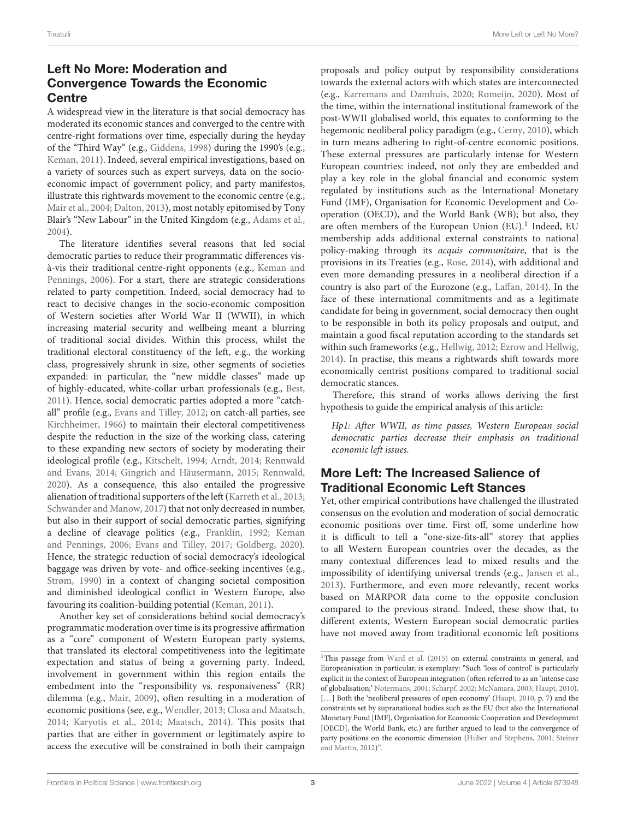# Left No More: Moderation and Convergence Towards the Economic **Centre**

A widespread view in the literature is that social democracy has moderated its economic stances and converged to the centre with centre-right formations over time, especially during the heyday of the "Third Way" (e.g., [Giddens, 1998\)](#page-14-1) during the 1990's (e.g., [Keman, 2011\)](#page-14-12). Indeed, several empirical investigations, based on a variety of sources such as expert surveys, data on the socioeconomic impact of government policy, and party manifestos, illustrate this rightwards movement to the economic centre (e.g., [Mair et al., 2004;](#page-15-2) [Dalton, 2013\)](#page-14-2), most notably epitomised by Tony Blair's "New Labour" in the United Kingdom (e.g., [Adams et al.,](#page-13-0) [2004\)](#page-13-0).

The literature identifies several reasons that led social democratic parties to reduce their programmatic differences visà-vis their traditional centre-right opponents (e.g., Keman and Pennings, [2006\)](#page-15-1). For a start, there are strategic considerations related to party competition. Indeed, social democracy had to react to decisive changes in the socio-economic composition of Western societies after World War II (WWII), in which increasing material security and wellbeing meant a blurring of traditional social divides. Within this process, whilst the traditional electoral constituency of the left, e.g., the working class, progressively shrunk in size, other segments of societies expanded: in particular, the "new middle classes" made up of highly-educated, white-collar urban professionals (e.g., [Best,](#page-14-3) [2011\)](#page-14-3). Hence, social democratic parties adopted a more "catchall" profile (e.g., [Evans and Tilley, 2012;](#page-14-13) on catch-all parties, see [Kirchheimer, 1966\)](#page-15-3) to maintain their electoral competitiveness despite the reduction in the size of the working class, catering to these expanding new sectors of society by moderating their ideological profile (e.g., [Kitschelt, 1994;](#page-15-4) [Arndt, 2014;](#page-13-1) Rennwald and Evans, [2014;](#page-15-5) [Gingrich and Häusermann, 2015;](#page-14-4) [Rennwald,](#page-15-6) [2020\)](#page-15-6). As a consequence, this also entailed the progressive alienation of traditional supporters of the left [\(Karreth et al., 2013;](#page-14-14) [Schwander and Manow, 2017\)](#page-15-13) that not only decreased in number, but also in their support of social democratic parties, signifying a decline of cleavage politics (e.g., [Franklin, 1992;](#page-14-5) Keman and Pennings, [2006;](#page-15-1) [Evans and Tilley, 2017;](#page-14-15) [Goldberg, 2020\)](#page-14-6). Hence, the strategic reduction of social democracy's ideological baggage was driven by vote- and office-seeking incentives (e.g., [Strøm, 1990\)](#page-15-11) in a context of changing societal composition and diminished ideological conflict in Western Europe, also favouring its coalition-building potential [\(Keman, 2011\)](#page-14-12).

Another key set of considerations behind social democracy's programmatic moderation over time is its progressive affirmation as a "core" component of Western European party systems, that translated its electoral competitiveness into the legitimate expectation and status of being a governing party. Indeed, involvement in government within this region entails the embedment into the "responsibility vs. responsiveness" (RR) dilemma (e.g., [Mair, 2009\)](#page-15-7), often resulting in a moderation of economic positions (see, e.g., [Wendler, 2013;](#page-15-14) [Closa and Maatsch,](#page-14-16) [2014;](#page-14-16) [Karyotis et al., 2014;](#page-14-17) [Maatsch, 2014\)](#page-15-15). This posits that parties that are either in government or legitimately aspire to access the executive will be constrained in both their campaign proposals and policy output by responsibility considerations towards the external actors with which states are interconnected (e.g., [Karremans and Damhuis, 2020;](#page-14-18) [Romeijn, 2020\)](#page-15-16). Most of the time, within the international institutional framework of the post-WWII globalised world, this equates to conforming to the hegemonic neoliberal policy paradigm (e.g., [Cerny, 2010\)](#page-14-19), which in turn means adhering to right-of-centre economic positions. These external pressures are particularly intense for Western European countries: indeed, not only they are embedded and play a key role in the global financial and economic system regulated by institutions such as the International Monetary Fund (IMF), Organisation for Economic Development and Cooperation (OECD), and the World Bank (WB); but also, they are often members of the European Union (EU).<sup>[1](#page-2-0)</sup> Indeed, EU membership adds additional external constraints to national policy-making through its acquis communitaire, that is the provisions in its Treaties (e.g., [Rose, 2014\)](#page-15-17), with additional and even more demanding pressures in a neoliberal direction if a country is also part of the Eurozone (e.g., [Laffan, 2014\)](#page-15-18). In the face of these international commitments and as a legitimate candidate for being in government, social democracy then ought to be responsible in both its policy proposals and output, and maintain a good fiscal reputation according to the standards set within such frameworks (e.g., [Hellwig, 2012;](#page-14-20) [Ezrow and Hellwig,](#page-14-21) [2014\)](#page-14-21). In practise, this means a rightwards shift towards more economically centrist positions compared to traditional social democratic stances.

Therefore, this strand of works allows deriving the first hypothesis to guide the empirical analysis of this article:

Hp1: After WWII, as time passes, Western European social democratic parties decrease their emphasis on traditional economic left issues.

# More Left: The Increased Salience of Traditional Economic Left Stances

Yet, other empirical contributions have challenged the illustrated consensus on the evolution and moderation of social democratic economic positions over time. First off, some underline how it is difficult to tell a "one-size-fits-all" storey that applies to all Western European countries over the decades, as the many contextual differences lead to mixed results and the impossibility of identifying universal trends (e.g., [Jansen et al.,](#page-14-22) [2013\)](#page-14-22). Furthermore, and even more relevantly, recent works based on MARPOR data come to the opposite conclusion compared to the previous strand. Indeed, these show that, to different extents, Western European social democratic parties have not moved away from traditional economic left positions

<span id="page-2-0"></span><sup>&</sup>lt;sup>1</sup>This passage from [Ward et al. \(2015\)](#page-15-19) on external constraints in general, and Europeanisation in particular, is exemplary: "Such 'loss of control' is particularly explicit in the context of European integration (often referred to as an 'intense case of globalisation;' [Notermans, 2001;](#page-15-20) [Scharpf, 2002;](#page-15-21) [McNamara, 2003;](#page-15-22) [Haupt, 2010\)](#page-14-23). [...] Both the 'neoliberal pressures of open economy' [\(Haupt, 2010,](#page-14-23) p. 7) and the constraints set by supranational bodies such as the EU (but also the International Monetary Fund [IMF], Organisation for Economic Cooperation and Development [OECD], the World Bank, etc.) are further argued to lead to the convergence of party positions on the economic dimension [\(Huber and Stephens, 2001;](#page-14-24) Steiner and Martin, [2012\)](#page-15-23)".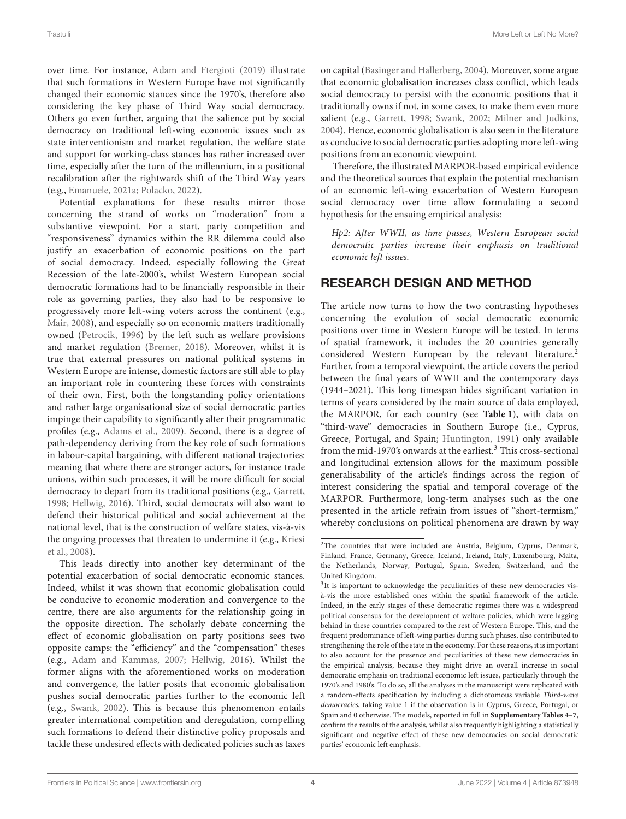over time. For instance, [Adam and Ftergioti \(2019\)](#page-13-2) illustrate that such formations in Western Europe have not significantly changed their economic stances since the 1970's, therefore also considering the key phase of Third Way social democracy. Others go even further, arguing that the salience put by social democracy on traditional left-wing economic issues such as state interventionism and market regulation, the welfare state and support for working-class stances has rather increased over time, especially after the turn of the millennium, in a positional recalibration after the rightwards shift of the Third Way years (e.g., [Emanuele, 2021a;](#page-14-7) [Polacko, 2022\)](#page-15-8).

Potential explanations for these results mirror those concerning the strand of works on "moderation" from a substantive viewpoint. For a start, party competition and "responsiveness" dynamics within the RR dilemma could also justify an exacerbation of economic positions on the part of social democracy. Indeed, especially following the Great Recession of the late-2000's, whilst Western European social democratic formations had to be financially responsible in their role as governing parties, they also had to be responsive to progressively more left-wing voters across the continent (e.g., [Mair, 2008\)](#page-15-10), and especially so on economic matters traditionally owned [\(Petrocik, 1996\)](#page-15-24) by the left such as welfare provisions and market regulation [\(Bremer, 2018\)](#page-14-25). Moreover, whilst it is true that external pressures on national political systems in Western Europe are intense, domestic factors are still able to play an important role in countering these forces with constraints of their own. First, both the longstanding policy orientations and rather large organisational size of social democratic parties impinge their capability to significantly alter their programmatic profiles (e.g., [Adams et al., 2009\)](#page-13-3). Second, there is a degree of path-dependency deriving from the key role of such formations in labour-capital bargaining, with different national trajectories: meaning that where there are stronger actors, for instance trade unions, within such processes, it will be more difficult for social democracy to depart from its traditional positions (e.g., [Garrett,](#page-14-8) [1998;](#page-14-8) [Hellwig, 2016\)](#page-14-9). Third, social democrats will also want to defend their historical political and social achievement at the national level, that is the construction of welfare states, vis-à-vis the ongoing processes that threaten to undermine it (e.g., Kriesi et al., [2008\)](#page-15-25).

This leads directly into another key determinant of the potential exacerbation of social democratic economic stances. Indeed, whilst it was shown that economic globalisation could be conducive to economic moderation and convergence to the centre, there are also arguments for the relationship going in the opposite direction. The scholarly debate concerning the effect of economic globalisation on party positions sees two opposite camps: the "efficiency" and the "compensation" theses (e.g., [Adam and Kammas, 2007;](#page-13-4) [Hellwig, 2016\)](#page-14-9). Whilst the former aligns with the aforementioned works on moderation and convergence, the latter posits that economic globalisation pushes social democratic parties further to the economic left (e.g., [Swank, 2002\)](#page-15-26). This is because this phenomenon entails greater international competition and deregulation, compelling such formations to defend their distinctive policy proposals and tackle these undesired effects with dedicated policies such astaxes on capital [\(Basinger and Hallerberg, 2004\)](#page-14-26). Moreover, some argue that economic globalisation increases class conflict, which leads social democracy to persist with the economic positions that it traditionally owns if not, in some cases, to make them even more salient (e.g., [Garrett, 1998;](#page-14-8) [Swank, 2002;](#page-15-26) [Milner and Judkins,](#page-15-27) [2004\)](#page-15-27). Hence, economic globalisation is also seen in the literature as conducive to social democratic parties adopting more left-wing positions from an economic viewpoint.

Therefore, the illustrated MARPOR-based empirical evidence and the theoretical sources that explain the potential mechanism of an economic left-wing exacerbation of Western European social democracy over time allow formulating a second hypothesis for the ensuing empirical analysis:

Hp2: After WWII, as time passes, Western European social democratic parties increase their emphasis on traditional economic left issues.

# RESEARCH DESIGN AND METHOD

The article now turns to how the two contrasting hypotheses concerning the evolution of social democratic economic positions over time in Western Europe will be tested. In terms of spatial framework, it includes the 20 countries generally considered Western European by the relevant literature.<sup>[2](#page-3-0)</sup> Further, from a temporal viewpoint, the article covers the period between the final years of WWII and the contemporary days (1944–2021). This long timespan hides significant variation in terms of years considered by the main source of data employed, the MARPOR, for each country (see **[Table 1](#page-4-0)**), with data on "third-wave" democracies in Southern Europe (i.e., Cyprus, Greece, Portugal, and Spain; [Huntington, 1991\)](#page-14-27) only available from the mid-1970's onwards at the earliest.<sup>[3](#page-3-1)</sup> This cross-sectional and longitudinal extension allows for the maximum possible generalisability of the article's findings across the region of interest considering the spatial and temporal coverage of the MARPOR. Furthermore, long-term analyses such as the one presented in the article refrain from issues of "short-termism," whereby conclusions on political phenomena are drawn by way

<span id="page-3-0"></span><sup>&</sup>lt;sup>2</sup>The countries that were included are Austria, Belgium, Cyprus, Denmark, Finland, France, Germany, Greece, Iceland, Ireland, Italy, Luxembourg, Malta, the Netherlands, Norway, Portugal, Spain, Sweden, Switzerland, and the United Kingdom.

<span id="page-3-1"></span><sup>&</sup>lt;sup>3</sup>It is important to acknowledge the peculiarities of these new democracies visà-vis the more established ones within the spatial framework of the article. Indeed, in the early stages of these democratic regimes there was a widespread political consensus for the development of welfare policies, which were lagging behind in these countries compared to the rest of Western Europe. This, and the frequent predominance of left-wing parties during such phases, also contributed to strengthening the role of the state in the economy. For these reasons, it is important to also account for the presence and peculiarities of these new democracies in the empirical analysis, because they might drive an overall increase in social democratic emphasis on traditional economic left issues, particularly through the 1970's and 1980's. To do so, all the analyses in the manuscript were replicated with a random-effects specification by including a dichotomous variable Third-wave democracies, taking value 1 if the observation is in Cyprus, Greece, Portugal, or Spain and 0 otherwise. The models, reported in full in **[Supplementary Tables 4](#page-13-5)**–**[7](#page-13-5)**, confirm the results of the analysis, whilst also frequently highlighting a statistically significant and negative effect of these new democracies on social democratic parties' economic left emphasis.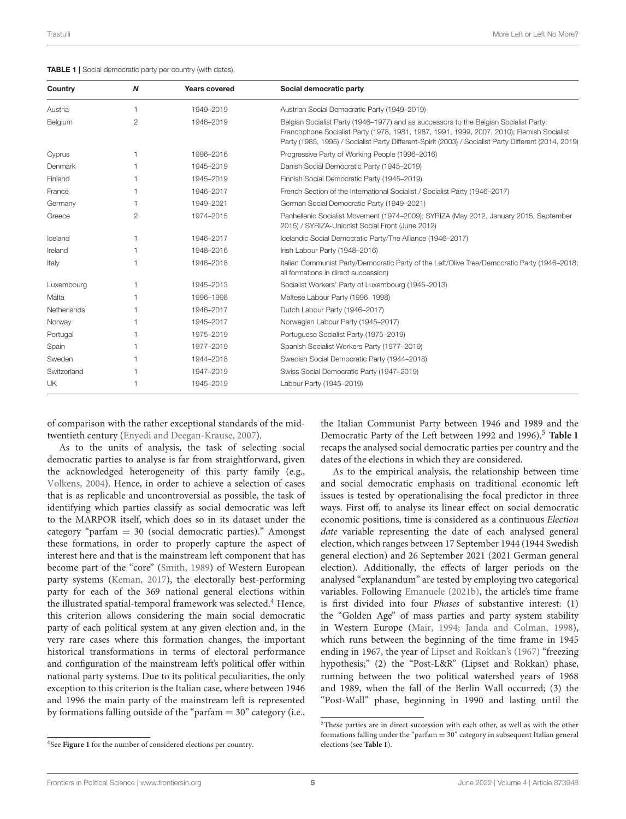<span id="page-4-0"></span>

| TABLE 1   Social democratic party per country (with dates). |  |
|-------------------------------------------------------------|--|
|-------------------------------------------------------------|--|

| Country     | N              | <b>Years covered</b> | Social democratic party                                                                                                                                                                                                                                                                     |
|-------------|----------------|----------------------|---------------------------------------------------------------------------------------------------------------------------------------------------------------------------------------------------------------------------------------------------------------------------------------------|
| Austria     | $\overline{1}$ | 1949-2019            | Austrian Social Democratic Party (1949-2019)                                                                                                                                                                                                                                                |
| Belgium     | $\overline{2}$ | 1946-2019            | Belgian Socialist Party (1946–1977) and as successors to the Belgian Socialist Party:<br>Francophone Socialist Party (1978, 1981, 1987, 1991, 1999, 2007, 2010); Flemish Socialist<br>Party (1985, 1995) / Socialist Party Different-Spirit (2003) / Socialist Party Different (2014, 2019) |
| Cyprus      |                | 1996-2016            | Progressive Party of Working People (1996-2016)                                                                                                                                                                                                                                             |
| Denmark     |                | 1945-2019            | Danish Social Democratic Party (1945-2019)                                                                                                                                                                                                                                                  |
| Finland     |                | 1945-2019            | Finnish Social Democratic Party (1945-2019)                                                                                                                                                                                                                                                 |
| France      |                | 1946-2017            | French Section of the International Socialist / Socialist Party (1946-2017)                                                                                                                                                                                                                 |
| Germany     |                | 1949-2021            | German Social Democratic Party (1949-2021)                                                                                                                                                                                                                                                  |
| Greece      | $\overline{2}$ | 1974-2015            | Panhellenic Socialist Movement (1974–2009); SYRIZA (May 2012, January 2015, September<br>2015) / SYRIZA-Unionist Social Front (June 2012)                                                                                                                                                   |
| Iceland     |                | 1946-2017            | Icelandic Social Democratic Party/The Alliance (1946-2017)                                                                                                                                                                                                                                  |
| Ireland     |                | 1948-2016            | Irish Labour Party (1948-2016)                                                                                                                                                                                                                                                              |
| Italy       |                | 1946-2018            | Italian Communist Party/Democratic Party of the Left/Olive Tree/Democratic Party (1946-2018;<br>all formations in direct succession)                                                                                                                                                        |
| Luxembourg  |                | 1945-2013            | Socialist Workers' Party of Luxembourg (1945-2013)                                                                                                                                                                                                                                          |
| Malta       |                | 1996-1998            | Maltese Labour Party (1996, 1998)                                                                                                                                                                                                                                                           |
| Netherlands |                | 1946-2017            | Dutch Labour Party (1946-2017)                                                                                                                                                                                                                                                              |
| Norway      |                | 1945-2017            | Norwegian Labour Party (1945-2017)                                                                                                                                                                                                                                                          |
| Portugal    |                | 1975-2019            | Portuguese Socialist Party (1975-2019)                                                                                                                                                                                                                                                      |
| Spain       |                | 1977-2019            | Spanish Socialist Workers Party (1977–2019)                                                                                                                                                                                                                                                 |
| Sweden      |                | 1944-2018            | Swedish Social Democratic Party (1944-2018)                                                                                                                                                                                                                                                 |
| Switzerland |                | 1947-2019            | Swiss Social Democratic Party (1947-2019)                                                                                                                                                                                                                                                   |
| <b>UK</b>   |                | 1945-2019            | Labour Party (1945-2019)                                                                                                                                                                                                                                                                    |

of comparison with the rather exceptional standards of the midtwentieth century [\(Enyedi and Deegan-Krause, 2007\)](#page-14-28).

As to the units of analysis, the task of selecting social democratic parties to analyse is far from straightforward, given the acknowledged heterogeneity of this party family (e.g., [Volkens, 2004\)](#page-15-28). Hence, in order to achieve a selection of cases that is as replicable and uncontroversial as possible, the task of identifying which parties classify as social democratic was left to the MARPOR itself, which does so in its dataset under the category "parfam  $= 30$  (social democratic parties)." Amongst these formations, in order to properly capture the aspect of interest here and that is the mainstream left component that has become part of the "core" [\(Smith, 1989\)](#page-15-12) of Western European party systems [\(Keman, 2017\)](#page-14-11), the electorally best-performing party for each of the 369 national general elections within the illustrated spatial-temporal framework was selected.<sup>[4](#page-4-1)</sup> Hence, this criterion allows considering the main social democratic party of each political system at any given election and, in the very rare cases where this formation changes, the important historical transformations in terms of electoral performance and configuration of the mainstream left's political offer within national party systems. Due to its political peculiarities, the only exception to this criterion is the Italian case, where between 1946 and 1996 the main party of the mainstream left is represented by formations falling outside of the "parfam  $= 30$ " category (i.e., the Italian Communist Party between 1946 and 1989 and the Democratic Party of the Left between 1992 and 1996).<sup>[5](#page-4-2)</sup> [Table 1](#page-4-0) recaps the analysed social democratic parties per country and the dates of the elections in which they are considered.

As to the empirical analysis, the relationship between time and social democratic emphasis on traditional economic left issues is tested by operationalising the focal predictor in three ways. First off, to analyse its linear effect on social democratic economic positions, time is considered as a continuous Election date variable representing the date of each analysed general election, which ranges between 17 September 1944 (1944 Swedish general election) and 26 September 2021 (2021 German general election). Additionally, the effects of larger periods on the analysed "explanandum" are tested by employing two categorical variables. Following [Emanuele \(2021b\)](#page-14-29), the article's time frame is first divided into four Phases of substantive interest: (1) the "Golden Age" of mass parties and party system stability in Western Europe [\(Mair, 1994;](#page-15-29) [Janda and Colman, 1998\)](#page-14-30), which runs between the beginning of the time frame in 1945 ending in 1967, the year of [Lipset and Rokkan's \(1967\)](#page-15-30) "freezing hypothesis;" (2) the "Post-L&R" (Lipset and Rokkan) phase, running between the two political watershed years of 1968 and 1989, when the fall of the Berlin Wall occurred; (3) the "Post-Wall" phase, beginning in 1990 and lasting until the

<span id="page-4-1"></span><sup>4</sup> See **[Figure 1](#page-5-0)** for the number of considered elections per country.

<span id="page-4-2"></span><sup>5</sup>These parties are in direct succession with each other, as well as with the other formations falling under the "parfam = 30" category in subsequent Italian general elections (see **[Table 1](#page-4-0)**).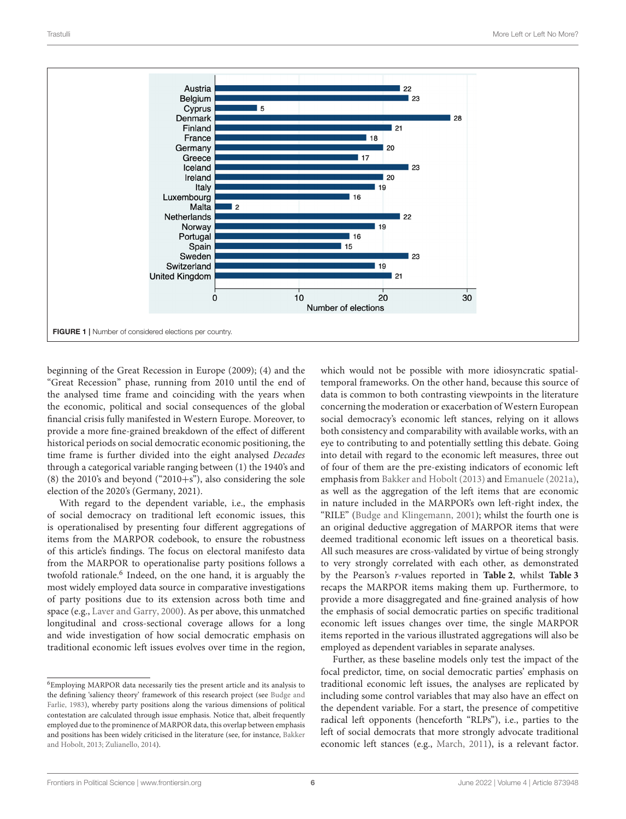

<span id="page-5-0"></span>beginning of the Great Recession in Europe (2009); (4) and the "Great Recession" phase, running from 2010 until the end of the analysed time frame and coinciding with the years when the economic, political and social consequences of the global financial crisis fully manifested in Western Europe. Moreover, to provide a more fine-grained breakdown of the effect of different historical periods on social democratic economic positioning, the time frame is further divided into the eight analysed Decades through a categorical variable ranging between (1) the 1940's and (8) the 2010's and beyond ("2010+s"), also considering the sole election of the 2020's (Germany, 2021).

With regard to the dependent variable, i.e., the emphasis of social democracy on traditional left economic issues, this is operationalised by presenting four different aggregations of items from the MARPOR codebook, to ensure the robustness of this article's findings. The focus on electoral manifesto data from the MARPOR to operationalise party positions follows a twofold rationale.<sup>[6](#page-5-1)</sup> Indeed, on the one hand, it is arguably the most widely employed data source in comparative investigations of party positions due to its extension across both time and space (e.g., [Laver and Garry, 2000\)](#page-15-31). As per above, this unmatched longitudinal and cross-sectional coverage allows for a long and wide investigation of how social democratic emphasis on traditional economic left issues evolves over time in the region, which would not be possible with more idiosyncratic spatialtemporal frameworks. On the other hand, because this source of data is common to both contrasting viewpoints in the literature concerning the moderation or exacerbation of Western European social democracy's economic left stances, relying on it allows both consistency and comparability with available works, with an eye to contributing to and potentially settling this debate. Going into detail with regard to the economic left measures, three out of four of them are the pre-existing indicators of economic left emphasis from [Bakker and Hobolt \(2013\)](#page-13-6) and [Emanuele \(2021a\)](#page-14-7), as well as the aggregation of the left items that are economic in nature included in the MARPOR's own left-right index, the "RILE" [\(Budge and Klingemann, 2001\)](#page-14-32); whilst the fourth one is an original deductive aggregation of MARPOR items that were deemed traditional economic left issues on a theoretical basis. All such measures are cross-validated by virtue of being strongly to very strongly correlated with each other, as demonstrated by the Pearson's r-values reported in **[Table 2](#page-6-0)**, whilst **[Table 3](#page-6-1)** recaps the MARPOR items making them up. Furthermore, to provide a more disaggregated and fine-grained analysis of how the emphasis of social democratic parties on specific traditional economic left issues changes over time, the single MARPOR items reported in the various illustrated aggregations will also be employed as dependent variables in separate analyses.

Further, as these baseline models only test the impact of the focal predictor, time, on social democratic parties' emphasis on traditional economic left issues, the analyses are replicated by including some control variables that may also have an effect on the dependent variable. For a start, the presence of competitive radical left opponents (henceforth "RLPs"), i.e., parties to the left of social democrats that more strongly advocate traditional economic left stances (e.g., [March, 2011\)](#page-15-32), is a relevant factor.

<span id="page-5-1"></span><sup>6</sup>Employing MARPOR data necessarily ties the present article and its analysis to the defining 'saliency theory' framework of this research project (see Budge and Farlie, [1983\)](#page-14-31), whereby party positions along the various dimensions of political contestation are calculated through issue emphasis. Notice that, albeit frequently employed due to the prominence of MARPOR data, this overlap between emphasis and positions has been widely criticised in the literature (see, for instance, Bakker and Hobolt, [2013;](#page-13-6) [Zulianello, 2014\)](#page-16-0).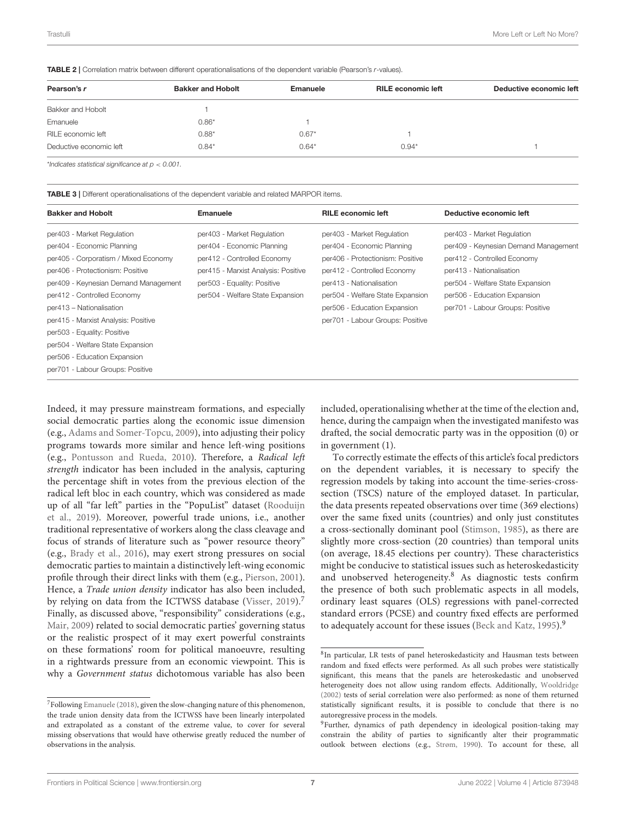<span id="page-6-0"></span>TABLE 2 | Correlation matrix between different operationalisations of the dependent variable (Pearson's r-values).

| Pearson's r             | <b>Bakker and Hobolt</b> | Emanuele | <b>RILE economic left</b> | Deductive economic left |
|-------------------------|--------------------------|----------|---------------------------|-------------------------|
| Bakker and Hobolt       |                          |          |                           |                         |
| Emanuele                | $0.86*$                  |          |                           |                         |
| RILE economic left      | $0.88*$                  | $0.67*$  |                           |                         |
| Deductive economic left | $0.84*$                  | $0.64*$  | $0.94*$                   |                         |
|                         |                          |          |                           |                         |

\*Indicates statistical significance at  $p < 0.001$ .

per701 - Labour Groups: Positive

<span id="page-6-1"></span>TABLE 3 | Different operationalisations of the dependent variable and related MARPOR items.

| <b>Bakker and Hobolt</b>             | Emanuele                            | <b>RILE</b> economic left        | Deductive economic left              |
|--------------------------------------|-------------------------------------|----------------------------------|--------------------------------------|
| per403 - Market Regulation           | per403 - Market Regulation          | per403 - Market Regulation       | per403 - Market Regulation           |
| per404 - Economic Planning           | per404 - Economic Planning          | per404 - Economic Planning       | per409 - Keynesian Demand Management |
| per405 - Corporatism / Mixed Economy | per412 - Controlled Economy         | per406 - Protectionism: Positive | per412 - Controlled Economy          |
| per406 - Protectionism: Positive     | per415 - Marxist Analysis: Positive | per412 - Controlled Economy      | per413 - Nationalisation             |
| per409 - Keynesian Demand Management | per503 - Equality: Positive         | per413 - Nationalisation         | per504 - Welfare State Expansion     |
| per412 - Controlled Economy          | per504 - Welfare State Expansion    | per504 - Welfare State Expansion | per506 - Education Expansion         |
| per413 - Nationalisation             |                                     | per506 - Education Expansion     | per701 - Labour Groups: Positive     |
| per415 - Marxist Analysis: Positive  |                                     | per701 - Labour Groups: Positive |                                      |
| per503 - Equality: Positive          |                                     |                                  |                                      |
| per504 - Welfare State Expansion     |                                     |                                  |                                      |
| per506 - Education Expansion         |                                     |                                  |                                      |
|                                      |                                     |                                  |                                      |

Indeed, it may pressure mainstream formations, and especially social democratic parties along the economic issue dimension (e.g., [Adams and Somer-Topcu, 2009\)](#page-13-7), into adjusting their policy programs towards more similar and hence left-wing positions (e.g., [Pontusson and Rueda, 2010\)](#page-15-33). Therefore, a Radical left strength indicator has been included in the analysis, capturing the percentage shift in votes from the previous election of the radical left bloc in each country, which was considered as made up of all "far left" parties in the "PopuList" dataset (Rooduijn et al., [2019\)](#page-15-34). Moreover, powerful trade unions, i.e., another traditional representative of workers along the class cleavage and focus of strands of literature such as "power resource theory" (e.g., [Brady et al., 2016\)](#page-14-33), may exert strong pressures on social democratic parties to maintain a distinctively left-wing economic profile through their direct links with them (e.g., [Pierson, 2001\)](#page-15-35). Hence, a Trade union density indicator has also been included, by relying on data from the ICTWSS database [\(Visser, 2019\)](#page-15-36).<sup>[7](#page-6-2)</sup> Finally, as discussed above, "responsibility" considerations (e.g., [Mair, 2009\)](#page-15-7) related to social democratic parties' governing status or the realistic prospect of it may exert powerful constraints on these formations' room for political manoeuvre, resulting in a rightwards pressure from an economic viewpoint. This is why a Government status dichotomous variable has also been included, operationalising whether at the time of the election and, hence, during the campaign when the investigated manifesto was drafted, the social democratic party was in the opposition (0) or in government (1).

To correctly estimate the effects of this article's focal predictors on the dependent variables, it is necessary to specify the regression models by taking into account the time-series-crosssection (TSCS) nature of the employed dataset. In particular, the data presents repeated observations over time (369 elections) over the same fixed units (countries) and only just constitutes a cross-sectionally dominant pool [\(Stimson, 1985\)](#page-15-37), as there are slightly more cross-section (20 countries) than temporal units (on average, 18.45 elections per country). These characteristics might be conducive to statistical issues such as heteroskedasticity and unobserved heterogeneity.<sup>[8](#page-6-3)</sup> As diagnostic tests confirm the presence of both such problematic aspects in all models, ordinary least squares (OLS) regressions with panel-corrected standard errors (PCSE) and country fixed effects are performed to adequately account for these issues [\(Beck and Katz, 1995\)](#page-14-35).<sup>[9](#page-6-4)</sup>

<span id="page-6-2"></span> ${\rm ^7}$  Following [Emanuele \(2018\)](#page-14-34), given the slow-changing nature of this phenomenon, the trade union density data from the ICTWSS have been linearly interpolated and extrapolated as a constant of the extreme value, to cover for several missing observations that would have otherwise greatly reduced the number of observations in the analysis.

<span id="page-6-3"></span><sup>8</sup> In particular, LR tests of panel heteroskedasticity and Hausman tests between random and fixed effects were performed. As all such probes were statistically significant, this means that the panels are heteroskedastic and unobserved heterogeneity does not allow using random effects. Additionally, [Wooldridge](#page-15-38) [\(2002\)](#page-15-38) tests of serial correlation were also performed: as none of them returned statistically significant results, it is possible to conclude that there is no autoregressive process in the models.

<span id="page-6-4"></span><sup>&</sup>lt;sup>9</sup>Further, dynamics of path dependency in ideological position-taking may constrain the ability of parties to significantly alter their programmatic outlook between elections (e.g., [Strøm, 1990\)](#page-15-11). To account for these, all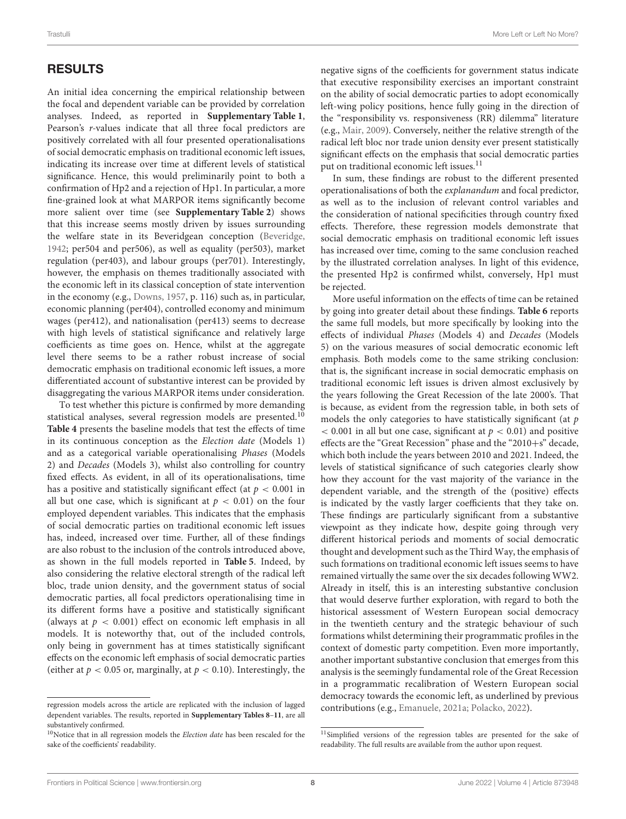# RESULTS

An initial idea concerning the empirical relationship between the focal and dependent variable can be provided by correlation analyses. Indeed, as reported in **[Supplementary Table 1](#page-13-5)**, Pearson's r-values indicate that all three focal predictors are positively correlated with all four presented operationalisations of social democratic emphasis on traditional economic left issues, indicating its increase over time at different levels of statistical significance. Hence, this would preliminarily point to both a confirmation of Hp2 and a rejection of Hp1. In particular, a more fine-grained look at what MARPOR items significantly become more salient over time (see **[Supplementary Table 2](#page-13-5)**) shows that this increase seems mostly driven by issues surrounding the welfare state in its Beveridgean conception [\(Beveridge,](#page-14-36) [1942;](#page-14-36) per504 and per506), as well as equality (per503), market regulation (per403), and labour groups (per701). Interestingly, however, the emphasis on themes traditionally associated with the economic left in its classical conception of state intervention in the economy (e.g., [Downs, 1957,](#page-14-10) p. 116) such as, in particular, economic planning (per404), controlled economy and minimum wages (per412), and nationalisation (per413) seems to decrease with high levels of statistical significance and relatively large coefficients as time goes on. Hence, whilst at the aggregate level there seems to be a rather robust increase of social democratic emphasis on traditional economic left issues, a more differentiated account of substantive interest can be provided by disaggregating the various MARPOR items under consideration.

To test whether this picture is confirmed by more demanding statistical analyses, several regression models are presented.<sup>[10](#page-7-0)</sup> **[Table 4](#page-8-0)** presents the baseline models that test the effects of time in its continuous conception as the Election date (Models 1) and as a categorical variable operationalising Phases (Models 2) and Decades (Models 3), whilst also controlling for country fixed effects. As evident, in all of its operationalisations, time has a positive and statistically significant effect (at  $p < 0.001$  in all but one case, which is significant at  $p < 0.01$ ) on the four employed dependent variables. This indicates that the emphasis of social democratic parties on traditional economic left issues has, indeed, increased over time. Further, all of these findings are also robust to the inclusion of the controls introduced above, as shown in the full models reported in **[Table 5](#page-9-0)**. Indeed, by also considering the relative electoral strength of the radical left bloc, trade union density, and the government status of social democratic parties, all focal predictors operationalising time in its different forms have a positive and statistically significant (always at  $p < 0.001$ ) effect on economic left emphasis in all models. It is noteworthy that, out of the included controls, only being in government has at times statistically significant effects on the economic left emphasis of social democratic parties (either at  $p < 0.05$  or, marginally, at  $p < 0.10$ ). Interestingly, the negative signs of the coefficients for government status indicate that executive responsibility exercises an important constraint on the ability of social democratic parties to adopt economically left-wing policy positions, hence fully going in the direction of the "responsibility vs. responsiveness (RR) dilemma" literature (e.g., [Mair, 2009\)](#page-15-7). Conversely, neither the relative strength of the radical left bloc nor trade union density ever present statistically significant effects on the emphasis that social democratic parties put on traditional economic left issues.<sup>[11](#page-7-1)</sup>

In sum, these findings are robust to the different presented operationalisations of both the explanandum and focal predictor, as well as to the inclusion of relevant control variables and the consideration of national specificities through country fixed effects. Therefore, these regression models demonstrate that social democratic emphasis on traditional economic left issues has increased over time, coming to the same conclusion reached by the illustrated correlation analyses. In light of this evidence, the presented Hp2 is confirmed whilst, conversely, Hp1 must be rejected.

More useful information on the effects of time can be retained by going into greater detail about these findings. **[Table 6](#page-10-0)** reports the same full models, but more specifically by looking into the effects of individual Phases (Models 4) and Decades (Models 5) on the various measures of social democratic economic left emphasis. Both models come to the same striking conclusion: that is, the significant increase in social democratic emphasis on traditional economic left issues is driven almost exclusively by the years following the Great Recession of the late 2000's. That is because, as evident from the regression table, in both sets of models the only categories to have statistically significant (at  $p$  $< 0.001$  in all but one case, significant at  $p < 0.01$ ) and positive effects are the "Great Recession" phase and the "2010+s" decade, which both include the years between 2010 and 2021. Indeed, the levels of statistical significance of such categories clearly show how they account for the vast majority of the variance in the dependent variable, and the strength of the (positive) effects is indicated by the vastly larger coefficients that they take on. These findings are particularly significant from a substantive viewpoint as they indicate how, despite going through very different historical periods and moments of social democratic thought and development such as the Third Way, the emphasis of such formations on traditional economic left issues seems to have remained virtually the same over the six decades following WW2. Already in itself, this is an interesting substantive conclusion that would deserve further exploration, with regard to both the historical assessment of Western European social democracy in the twentieth century and the strategic behaviour of such formations whilst determining their programmatic profiles in the context of domestic party competition. Even more importantly, another important substantive conclusion that emerges from this analysis is the seemingly fundamental role of the Great Recession in a programmatic recalibration of Western European social democracy towards the economic left, as underlined by previous contributions (e.g., [Emanuele, 2021a;](#page-14-7) [Polacko, 2022\)](#page-15-8).

regression models across the article are replicated with the inclusion of lagged dependent variables. The results, reported in **[Supplementary Tables 8](#page-13-5)**–**[11](#page-13-5)**, are all substantively confirmed.

<span id="page-7-0"></span> $10$ Notice that in all regression models the *Election date* has been rescaled for the sake of the coefficients' readability.

<span id="page-7-1"></span><sup>&</sup>lt;sup>11</sup>Simplified versions of the regression tables are presented for the sake of readability. The full results are available from the author upon request.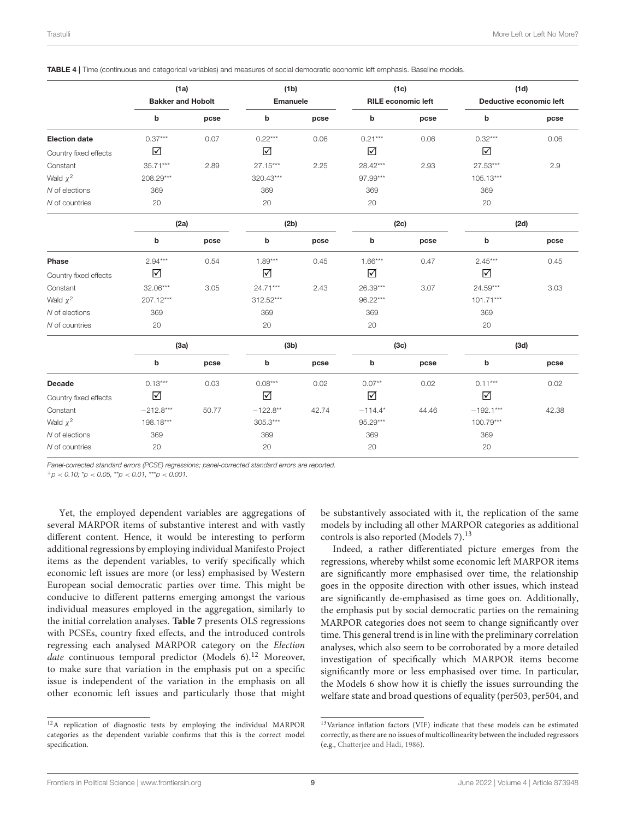<span id="page-8-0"></span>TABLE 4 | Time (continuous and categorical variables) and measures of social democratic economic left emphasis. Baseline models.

|                       | (1a)                     |       | (1 <sub>b</sub> ) |       | (1c)                      |       | (1d)                    |       |  |  |
|-----------------------|--------------------------|-------|-------------------|-------|---------------------------|-------|-------------------------|-------|--|--|
|                       | <b>Bakker and Hobolt</b> |       | Emanuele          |       | <b>RILE economic left</b> |       | Deductive economic left |       |  |  |
|                       | b                        | pcse  | b                 | pcse  | b                         | pcse  | b                       | pcse  |  |  |
| <b>Election date</b>  | $0.37***$                | 0.07  | $0.22***$         | 0.06  | $0.21***$                 | 0.06  | $0.32***$               | 0.06  |  |  |
| Country fixed effects | ☑                        |       | ☑                 |       | ☑                         |       | ☑                       |       |  |  |
| Constant              | 35.71***                 | 2.89  | 27.15***          | 2.25  | 28.42***                  | 2.93  | 27.53***                | 2.9   |  |  |
| Wald $\chi^2$         | 208.29***                |       | $320.43***$       |       | 97.99***                  |       | $105.13***$             |       |  |  |
| N of elections        | 369                      |       | 369               |       | 369                       |       | 369                     |       |  |  |
| N of countries        | 20                       |       | 20                |       | 20                        |       | 20                      |       |  |  |
|                       | (2a)                     |       | (2b)              |       | (2c)                      |       | (2d)                    |       |  |  |
|                       | b                        | pcse  | b                 | pcse  | b                         | pcse  | b                       | pcse  |  |  |
| Phase                 | $2.94***$                | 0.54  | $1.89***$         | 0.45  | $1.66***$                 | 0.47  | $2.45***$               | 0.45  |  |  |
| Country fixed effects | ☑                        |       | ☑                 |       | ☑                         |       | ☑                       |       |  |  |
| Constant              | 32.06***                 | 3.05  | 24.71***          | 2.43  | 26.39***                  | 3.07  | 24.59***                | 3.03  |  |  |
| Wald $\chi^2$         | 207.12***                |       | $312.52***$       |       | 96.22***                  |       | $101.71***$             |       |  |  |
| N of elections        | 369                      |       | 369               |       | 369                       |       | 369                     |       |  |  |
| N of countries        | 20                       |       | 20                |       | 20                        |       | 20                      |       |  |  |
|                       | (3a)                     |       | (3 <sub>b</sub> ) |       | (3c)                      |       | (3d)                    |       |  |  |
|                       | b                        | pcse  | b                 | pcse  | b                         | pcse  | b                       | pcse  |  |  |
| <b>Decade</b>         | $0.13***$                | 0.03  | $0.08***$         | 0.02  | $0.07**$                  | 0.02  | $0.11***$               | 0.02  |  |  |
| Country fixed effects | ☑                        |       | ☑                 |       | ☑                         |       | $\Delta$                |       |  |  |
| Constant              | $-212.8***$              | 50.77 | $-122.8**$        | 42.74 | $-114.4*$                 | 44.46 | $-192.1***$             | 42.38 |  |  |
| Wald $\chi^2$         | 198.18***                |       | 305.3***          |       | 95.29***                  |       | $100.79***$             |       |  |  |
| N of elections        | 369                      |       | 369               |       | 369                       |       | 369                     |       |  |  |
| N of countries        | 20                       |       | 20                |       | 20                        |       | 20                      |       |  |  |

Panel-corrected standard errors (PCSE) regressions; panel-corrected standard errors are reported.

 $^{+}p$  < 0.10;  $^{*}p$  < 0.05,  $^{**}p$  < 0.01,  $^{***}p$  < 0.001.

Yet, the employed dependent variables are aggregations of several MARPOR items of substantive interest and with vastly different content. Hence, it would be interesting to perform additional regressions by employing individual Manifesto Project items as the dependent variables, to verify specifically which economic left issues are more (or less) emphasised by Western European social democratic parties over time. This might be conducive to different patterns emerging amongst the various individual measures employed in the aggregation, similarly to the initial correlation analyses. **[Table 7](#page-11-0)** presents OLS regressions with PCSEs, country fixed effects, and the introduced controls regressing each analysed MARPOR category on the Election date continuous temporal predictor (Models  $6$ ).<sup>[12](#page-8-1)</sup> Moreover, to make sure that variation in the emphasis put on a specific issue is independent of the variation in the emphasis on all other economic left issues and particularly those that might be substantively associated with it, the replication of the same models by including all other MARPOR categories as additional controls is also reported (Models 7).<sup>[13](#page-8-2)</sup>

Indeed, a rather differentiated picture emerges from the regressions, whereby whilst some economic left MARPOR items are significantly more emphasised over time, the relationship goes in the opposite direction with other issues, which instead are significantly de-emphasised as time goes on. Additionally, the emphasis put by social democratic parties on the remaining MARPOR categories does not seem to change significantly over time. This general trend is in line with the preliminary correlation analyses, which also seem to be corroborated by a more detailed investigation of specifically which MARPOR items become significantly more or less emphasised over time. In particular, the Models 6 show how it is chiefly the issues surrounding the welfare state and broad questions of equality (per503, per504, and

<span id="page-8-1"></span><sup>12</sup>A replication of diagnostic tests by employing the individual MARPOR categories as the dependent variable confirms that this is the correct model specification.

<span id="page-8-2"></span><sup>13</sup>Variance inflation factors (VIF) indicate that these models can be estimated correctly, as there are no issues of multicollinearity between the included regressors (e.g., [Chatterjee and Hadi, 1986\)](#page-14-37).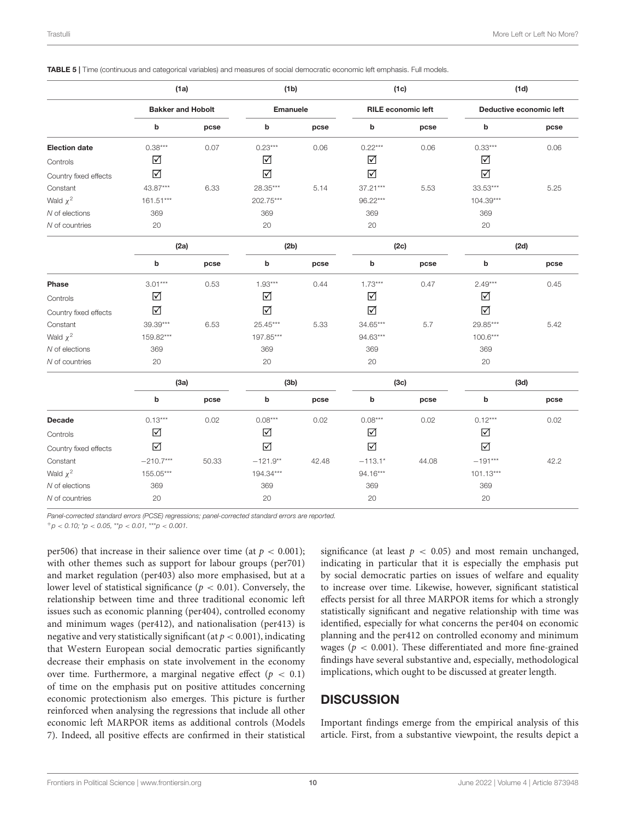<span id="page-9-0"></span>

|  | TABLE 5   Time (continuous and categorical variables) and measures of social democratic economic left emphasis. Full models. |  |  |  |  |  |
|--|------------------------------------------------------------------------------------------------------------------------------|--|--|--|--|--|
|  |                                                                                                                              |  |  |  |  |  |

|                       | (1a)<br><b>Bakker and Hobolt</b><br>b<br>pcse<br>$0.38***$<br>0.07<br>☑<br>☑<br>43.87***<br>6.33<br>161.51***<br>369<br>20<br>(2a)<br>b<br>pcse<br>$3.01***$<br>0.53<br>☑<br>☑<br>39.39***<br>6.53<br>159.82***<br>369<br>20 |       | (1 <sub>b</sub> )    |       | (1c)                      |       | (1d)                    |      |  |
|-----------------------|------------------------------------------------------------------------------------------------------------------------------------------------------------------------------------------------------------------------------|-------|----------------------|-------|---------------------------|-------|-------------------------|------|--|
|                       |                                                                                                                                                                                                                              |       | Emanuele             |       | <b>RILE</b> economic left |       | Deductive economic left |      |  |
|                       |                                                                                                                                                                                                                              |       | b                    | pcse  | b                         | pcse  | b                       | pcse |  |
| <b>Election date</b>  |                                                                                                                                                                                                                              |       | $0.23***$            | 0.06  | $0.22***$                 | 0.06  | $0.33***$               | 0.06 |  |
| Controls              |                                                                                                                                                                                                                              |       | $\blacktriangledown$ |       | ☑                         |       | $\blacktriangledown$    |      |  |
| Country fixed effects |                                                                                                                                                                                                                              |       | ☑                    |       | ☑                         |       | ☑                       |      |  |
| Constant              |                                                                                                                                                                                                                              |       | 28.35***             | 5.14  | 37.21***                  | 5.53  | 33.53***                | 5.25 |  |
| Wald $\chi^2$         |                                                                                                                                                                                                                              |       | 202.75***            |       | 96.22***                  |       | $104.39***$             |      |  |
| N of elections        |                                                                                                                                                                                                                              |       | 369                  |       | 369                       |       | 369                     |      |  |
| N of countries        |                                                                                                                                                                                                                              |       | 20                   |       | 20                        |       | 20                      |      |  |
|                       |                                                                                                                                                                                                                              |       | (2b)                 |       | (2c)                      |       | (2d)                    |      |  |
|                       |                                                                                                                                                                                                                              |       | b                    | pcse  | b                         | pcse  | b                       | pcse |  |
| Phase                 |                                                                                                                                                                                                                              |       | $1.93***$            | 0.44  | $1.73***$                 | 0.47  | $2.49***$               | 0.45 |  |
| Controls              |                                                                                                                                                                                                                              |       | $\blacktriangledown$ |       | ☑                         |       | $\sqrt{ }$              |      |  |
| Country fixed effects |                                                                                                                                                                                                                              |       | ☑                    |       | $\blacktriangledown$      |       | ☑                       |      |  |
| Constant              |                                                                                                                                                                                                                              |       | 25.45***             | 5.33  | 34.65***                  | 5.7   | 29.85***                | 5.42 |  |
| Wald $\chi^2$         |                                                                                                                                                                                                                              |       | 197.85***            |       | 94.63***                  |       | $100.6***$              |      |  |
| N of elections        |                                                                                                                                                                                                                              |       | 369                  |       | 369                       |       | 369                     |      |  |
| N of countries        |                                                                                                                                                                                                                              |       | 20                   |       | 20                        |       | 20                      |      |  |
|                       | (3a)                                                                                                                                                                                                                         |       | (3b)                 |       | (3c)                      |       | (3d)                    |      |  |
|                       | b                                                                                                                                                                                                                            | pcse  | b                    | pcse  | b                         | pcse  | b                       | pcse |  |
| <b>Decade</b>         | $0.13***$                                                                                                                                                                                                                    | 0.02  | $0.08***$            | 0.02  | $0.08***$                 | 0.02  | $0.12***$               | 0.02 |  |
| Controls              | ☑                                                                                                                                                                                                                            |       | $\blacktriangledown$ |       | ☑                         |       | ☑                       |      |  |
| Country fixed effects | ☑                                                                                                                                                                                                                            |       | ☑                    |       | $\Delta$                  |       | ☑                       |      |  |
| Constant              | $-210.7***$                                                                                                                                                                                                                  | 50.33 | $-121.9**$           | 42.48 | $-113.1*$                 | 44.08 | $-191***$               | 42.2 |  |
| Wald $\chi^2$         | 155.05***                                                                                                                                                                                                                    |       | $194.34***$          |       | 94.16***                  |       | $101.13***$             |      |  |
| N of elections        | 369                                                                                                                                                                                                                          |       | 369                  |       | 369                       |       | 369                     |      |  |
| N of countries        | 20                                                                                                                                                                                                                           |       | 20                   |       | 20                        |       | 20                      |      |  |

Panel-corrected standard errors (PCSE) regressions; panel-corrected standard errors are reported.

 $^{+}p$  < 0.10;  $^{*}p$  < 0.05,  $^{**}p$  < 0.01,  $^{***}p$  < 0.001.

per506) that increase in their salience over time (at  $p < 0.001$ ); with other themes such as support for labour groups (per701) and market regulation (per403) also more emphasised, but at a lower level of statistical significance ( $p < 0.01$ ). Conversely, the relationship between time and three traditional economic left issues such as economic planning (per404), controlled economy and minimum wages (per412), and nationalisation (per413) is negative and very statistically significant (at  $p < 0.001$ ), indicating that Western European social democratic parties significantly decrease their emphasis on state involvement in the economy over time. Furthermore, a marginal negative effect  $(p < 0.1)$ of time on the emphasis put on positive attitudes concerning economic protectionism also emerges. This picture is further reinforced when analysing the regressions that include all other economic left MARPOR items as additional controls (Models 7). Indeed, all positive effects are confirmed in their statistical significance (at least  $p < 0.05$ ) and most remain unchanged, indicating in particular that it is especially the emphasis put by social democratic parties on issues of welfare and equality to increase over time. Likewise, however, significant statistical effects persist for all three MARPOR items for which a strongly statistically significant and negative relationship with time was identified, especially for what concerns the per404 on economic planning and the per412 on controlled economy and minimum wages ( $p < 0.001$ ). These differentiated and more fine-grained findings have several substantive and, especially, methodological implications, which ought to be discussed at greater length.

# **DISCUSSION**

Important findings emerge from the empirical analysis of this article. First, from a substantive viewpoint, the results depict a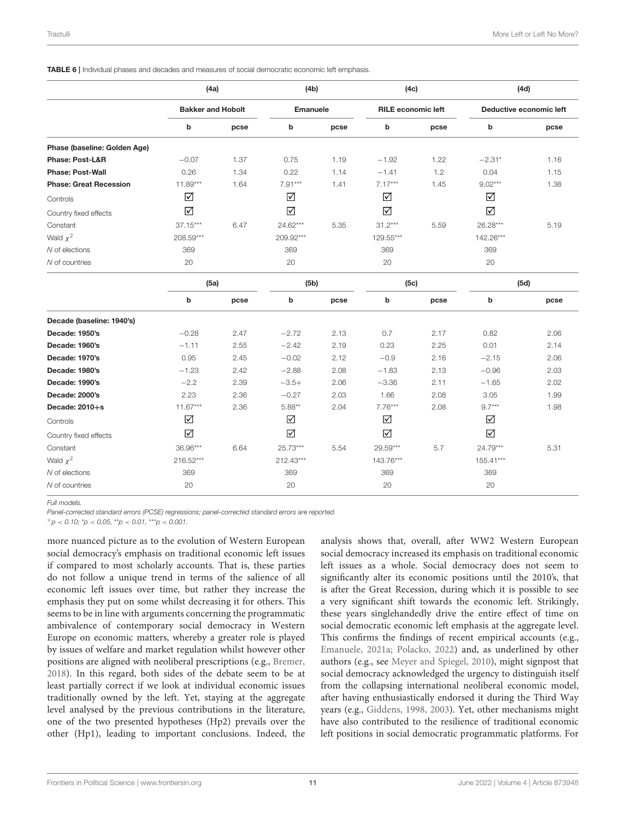<span id="page-10-0"></span>TABLE 6 | Individual phases and decades and measures of social democratic economic left emphasis.

|                               | (4a)                     |      | (4b)            |      | (4c)                      |      | (4d)                    |      |  |  |
|-------------------------------|--------------------------|------|-----------------|------|---------------------------|------|-------------------------|------|--|--|
|                               | <b>Bakker and Hobolt</b> |      | <b>Emanuele</b> |      | <b>RILE</b> economic left |      | Deductive economic left |      |  |  |
|                               | b                        | pcse | b               | pcse | b                         | pcse | b                       | pcse |  |  |
| Phase (baseline: Golden Age)  |                          |      |                 |      |                           |      |                         |      |  |  |
| <b>Phase: Post-L&amp;R</b>    | $-0.07$                  | 1.37 | 0.75            | 1.19 | $-1.92$                   | 1.22 | $-2.31*$                | 1.16 |  |  |
| <b>Phase: Post-Wall</b>       | 0.26                     | 1.34 | 0.22            | 1.14 | $-1.41$                   | 1.2  | 0.04                    | 1.15 |  |  |
| <b>Phase: Great Recession</b> | $11.89***$               | 1.64 | $7.91***$       | 1.41 | $7.17***$                 | 1.45 | $9.02***$               | 1.38 |  |  |
| Controls                      | ☑                        |      | $\sqrt{}$       |      | ☑                         |      | ☑                       |      |  |  |
| Country fixed effects         | ☑                        |      | ☑               |      | ☑                         |      | ☑                       |      |  |  |
| Constant                      | $37.15***$               | 6.47 | 24.62***        | 5.35 | $31.2***$                 | 5.59 | 26.28***                | 5.19 |  |  |
| Wald $\chi^2$                 | 208.59***                |      | 209.92***       |      | 129.55***                 |      | 142.26***               |      |  |  |
| N of elections                | 369                      |      | 369             |      | 369                       |      | 369                     |      |  |  |
| N of countries                | 20                       |      | 20              |      | 20                        |      | 20                      |      |  |  |
|                               | (5a)                     |      | (5b)            |      | (5c)                      |      | (5d)                    |      |  |  |
|                               | b                        | pcse | b               | pcse | b                         | pcse | b                       | pcse |  |  |
| Decade (baseline: 1940's)     |                          |      |                 |      |                           |      |                         |      |  |  |
| Decade: 1950's                | $-0.28$                  | 2.47 | $-2.72$         | 2.13 | 0.7                       | 2.17 | 0.82                    | 2.06 |  |  |
| Decade: 1960's                | $-1.11$                  | 2.55 | $-2.42$         | 2.19 | 0.23                      | 2.25 | 0.01                    | 2.14 |  |  |

Decade: 1970's 0.95 2.45 −0.02 2.12 −0.9 2.16 −2.15 2.06 Decade: 1980's −1.23 2.42 −2.88 2.08 −1.83 2.13 −0.96 2.03 Decade: 1990's −2.2 2.39 −3.5+ 2.06 −3.36 2.11 −1.65 2.02 Decade: 2000's 2.23 2.36 −0.27 2.03 1.66 2.08 3.05 1.99 **Decade: 2010+s** 11.67\*\*\* 2.36 5.88\*\* 2.04 7.76\*\*\* 2.08 9.7\*\*\* 1.98

Constant 36.96\*\*\* 6.64 25.73\*\*\* 5.54 29.59\*\*\* 5.7 24.79\*\*\* 5.31

 $\triangledown$ 

☑

2 216.52\*\*\* 212.43\*\*\* 143.76\*\*\* 143.76\*\*\* 155.41\*\*\* N of elections 369 369 369 369 N of countries 20 20 20 20

 $\sqrt{ }$ 

☑

Full models.

Controls

Wald  $\chi^2$ 

Country fixed effects

Panel-corrected standard errors (PCSE) regressions; panel-corrected standard errors are reported.

 $\blacktriangledown$ 

☑

 $^{+}p$  < 0.10;  $^{*}p$  < 0.05,  $^{**}p$  < 0.01,  $^{***}p$  < 0.001.

more nuanced picture as to the evolution of Western European social democracy's emphasis on traditional economic left issues if compared to most scholarly accounts. That is, these parties do not follow a unique trend in terms of the salience of all economic left issues over time, but rather they increase the emphasis they put on some whilst decreasing it for others. This seems to be in line with arguments concerning the programmatic ambivalence of contemporary social democracy in Western Europe on economic matters, whereby a greater role is played by issues of welfare and market regulation whilst however other positions are aligned with neoliberal prescriptions (e.g., [Bremer,](#page-14-25) [2018\)](#page-14-25). In this regard, both sides of the debate seem to be at least partially correct if we look at individual economic issues traditionally owned by the left. Yet, staying at the aggregate level analysed by the previous contributions in the literature, one of the two presented hypotheses (Hp2) prevails over the other (Hp1), leading to important conclusions. Indeed, the analysis shows that, overall, after WW2 Western European social democracy increased its emphasis on traditional economic left issues as a whole. Social democracy does not seem to significantly alter its economic positions until the 2010's, that is after the Great Recession, during which it is possible to see a very significant shift towards the economic left. Strikingly, these years singlehandedly drive the entire effect of time on social democratic economic left emphasis at the aggregate level. This confirms the findings of recent empirical accounts (e.g., [Emanuele, 2021a;](#page-14-7) [Polacko, 2022\)](#page-15-8) and, as underlined by other authors (e.g., see [Meyer and Spiegel, 2010\)](#page-15-9), might signpost that social democracy acknowledged the urgency to distinguish itself from the collapsing international neoliberal economic model, after having enthusiastically endorsed it during the Third Way years (e.g., [Giddens, 1998,](#page-14-1) [2003\)](#page-14-38). Yet, other mechanisms might have also contributed to the resilience of traditional economic left positions in social democratic programmatic platforms. For

 $\sqrt{ }$ 

☑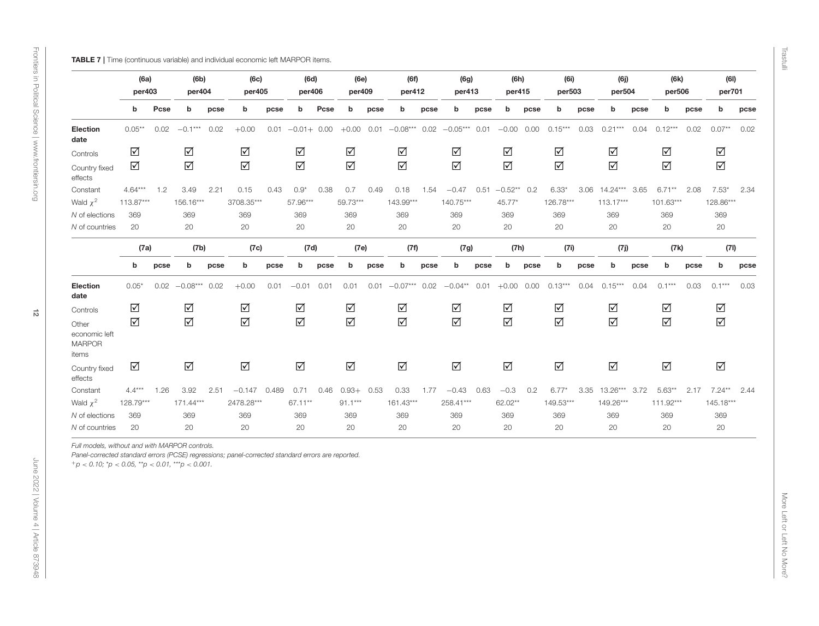<span id="page-11-0"></span>

|                                                                                                                                                                                                                                                  | (6a)<br>per403       |      | (6b)<br>per404       |      | (6c)<br>per405       |      | (6d)<br>per406       |      | (6e)<br>per409       |      | (6f)<br>per412       |      | (6g)<br>per413       |      | (6h)<br>per415       |      | (6i)<br>per503       |      | (6j)<br>per504       |      | (6k)<br>per506 |      | (6)<br>per701        |      |
|--------------------------------------------------------------------------------------------------------------------------------------------------------------------------------------------------------------------------------------------------|----------------------|------|----------------------|------|----------------------|------|----------------------|------|----------------------|------|----------------------|------|----------------------|------|----------------------|------|----------------------|------|----------------------|------|----------------|------|----------------------|------|
|                                                                                                                                                                                                                                                  | b                    | Pcse | b                    | pcse | b                    | pcse | b                    | Pcse | b                    | pcse | b                    | pcse | b                    | pcse | b                    | pcse | b                    | pcse | b                    | pcse | b              | pcse | b                    | pcse |
| Election<br>date                                                                                                                                                                                                                                 | $0.05***$            | 0.02 | $-0.1***$            | 0.02 | $+0.00$              |      | $0.01 -0.01 + 0.00$  |      | $+0.00$              | 0.01 | $-0.08***$           |      | $0.02 -0.05***$      | 0.01 | $-0.00$ 0.00         |      | $0.15***$            | 0.03 | $0.21***$            | 0.04 | $0.12***$      | 0.02 | $0.07**$             | 0.02 |
| Controls                                                                                                                                                                                                                                         | ☑                    |      | $\sqrt{ }$           |      | $\blacktriangledown$ |      | $\blacktriangledown$ |      | $\blacktriangledown$ |      | $\blacktriangledown$ |      | $\blacktriangledown$ |      | $\blacktriangledown$ |      | $\sqrt{ }$           |      | $\blacktriangledown$ |      | $\Delta$       |      | $\blacktriangledown$ |      |
| Country fixed<br>effects                                                                                                                                                                                                                         | $\blacktriangledown$ |      | $\Delta$             |      | $\Delta$             |      | $\Delta$             |      | $\Delta$             |      | $\Delta$             |      | ☑                    |      | $\Delta$             |      | ☑                    |      | $\Delta$             |      | $\Delta$       |      | $\Delta$             |      |
| Constant                                                                                                                                                                                                                                         | $4.64***$            | 1.2  | 3.49                 | 2.21 | 0.15                 | 0.43 | $0.9*$               | 0.38 | 0.7                  | 0.49 | 0.18                 | 1.54 | $-0.47$              | 0.51 | $-0.52**$ 0.2        |      | $6.33*$              |      | 3.06 14.24*** 3.65   |      | $6.71***$      | 2.08 | $7.53*$              | 2.34 |
| Wald $\chi^2$                                                                                                                                                                                                                                    | 113.87***            |      | 156.16***            |      | 3708.35***           |      | 57.96***             |      | 59.73***             |      | $143.99***$          |      | $140.75***$          |      | 45.77*               |      | 126.78***            |      | $113.17***$          |      | $101.63***$    |      | 128.86***            |      |
| N of elections                                                                                                                                                                                                                                   | 369                  |      | 369                  |      | 369                  |      | 369                  |      | 369                  |      | 369                  |      | 369                  |      | 369                  |      | 369                  |      | 369                  |      | 369            |      | 369                  |      |
| N of countries                                                                                                                                                                                                                                   | 20                   |      | 20                   |      | 20                   |      | 20                   |      | 20                   |      | 20                   |      | 20                   |      | 20                   |      | 20                   |      | 20                   |      | 20             |      | 20                   |      |
|                                                                                                                                                                                                                                                  | (7a)                 |      | (7b)                 |      | (7c)                 |      | (7d)                 |      | (7e)                 |      | (7f)                 |      | (7g)                 |      | (7h)                 |      | (7i)                 |      | (7j)                 |      | (7k)           |      | (71)                 |      |
|                                                                                                                                                                                                                                                  | b                    | pcse | b                    | pcse | b                    | pcse | b                    | pcse | b                    | pcse | b                    | pcse | b                    | pcse | b                    | pcse | b                    | pcse | b                    | pcse | b              | pcse | b                    | pcse |
| Election<br>date                                                                                                                                                                                                                                 | $0.05*$              | 0.02 | $-0.08***$           | 0.02 | $+0.00$              | 0.01 | $-0.01$              | 0.01 | 0.01                 | 0.01 | $-0.07***$           | 0.02 | $-0.04**$            | 0.01 | $+0.00$ 0.00         |      | $0.13***$            | 0.04 | $0.15***$            | 0.04 | $0.1***$       | 0.03 | $0.1***$             | 0.03 |
| Controls                                                                                                                                                                                                                                         | $\sqrt{ }$           |      | $\sqrt{ }$           |      | $\blacktriangledown$ |      | $\blacktriangledown$ |      | $\blacktriangledown$ |      | $\blacktriangledown$ |      | $\blacktriangledown$ |      | $\blacktriangledown$ |      | $\blacktriangledown$ |      | $\blacktriangledown$ |      | $\Delta$       |      | $\blacktriangledown$ |      |
| Other<br>economic left<br><b>MARPOR</b><br>items                                                                                                                                                                                                 | $\Delta$             |      | $\Delta$             |      | $\sqrt{ }$           |      | $\blacktriangledown$ |      | $\Delta$             |      | $\Delta$             |      | $\sqrt{ }$           |      | $\blacktriangledown$ |      | ☑                    |      | $\Delta$             |      | $\Delta$       |      | $\blacktriangledown$ |      |
| Country fixed<br>effects                                                                                                                                                                                                                         | $\blacktriangledown$ |      | $\blacktriangledown$ |      | $\Delta$             |      | $\Delta$             |      | $\blacktriangledown$ |      | $\blacktriangledown$ |      | $\Delta$             |      | $\Delta$             |      | $\Delta$             |      | $\blacktriangledown$ |      | $\Delta$       |      | $\blacktriangledown$ |      |
| Constant                                                                                                                                                                                                                                         | $4.4***$             | 1.26 | 3.92                 | 2.51 | $-0.147$ 0.489       |      | 0.71                 | 0.46 | $0.93+$              | 0.53 | 0.33                 | 1.77 | $-0.43$              | 0.63 | $-0.3$               | 0.2  | $6.77*$              | 3.35 | $13.26***$           | 3.72 | $5.63**$       | 2.17 | $7.24***$            | 2.44 |
| Wald $\chi^2$                                                                                                                                                                                                                                    | 128.79***            |      | $171.44***$          |      | 2478.28***           |      | 67.11**              |      | $91.1***$            |      | $161.43***$          |      | 258.41***            |      | 62.02**              |      | $149.53***$          |      | 149.26***            |      | $111.92***$    |      | $145.18***$          |      |
| N of elections                                                                                                                                                                                                                                   | 369                  |      | 369                  |      | 369                  |      | 369                  |      | 369                  |      | 369                  |      | 369                  |      | 369                  |      | 369                  |      | 369                  |      | 369            |      | 369                  |      |
| N of countries                                                                                                                                                                                                                                   | 20                   |      | 20                   |      | 20                   |      | 20                   |      | 20                   |      | 20                   |      | 20                   |      | 20                   |      | 20                   |      | 20                   |      | 20             |      | 20                   |      |
| Full models, without and with MARPOR controls.<br>Panel-corrected standard errors (PCSE) regressions; panel-corrected standard errors are reported.<br>$^+p$ < 0.10; $^{\star}p$ < 0.05, $^{\star\star}p$ < 0.01, $^{\star\star\star}p$ < 0.001. |                      |      |                      |      |                      |      |                      |      |                      |      |                      |      |                      |      |                      |      |                      |      |                      |      |                |      |                      |      |

Trastulli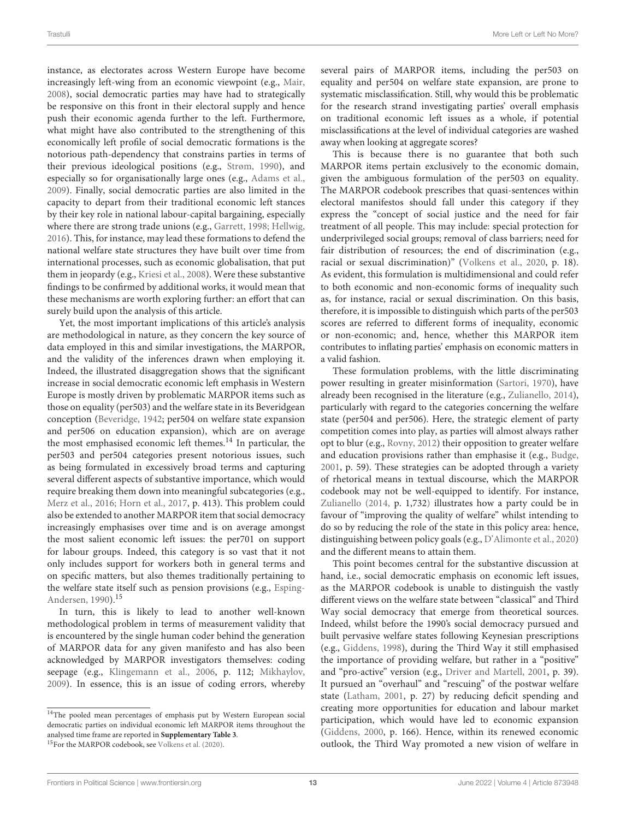instance, as electorates across Western Europe have become increasingly left-wing from an economic viewpoint (e.g., [Mair,](#page-15-10) [2008\)](#page-15-10), social democratic parties may have had to strategically be responsive on this front in their electoral supply and hence push their economic agenda further to the left. Furthermore, what might have also contributed to the strengthening of this economically left profile of social democratic formations is the notorious path-dependency that constrains parties in terms of their previous ideological positions (e.g., [Strøm, 1990\)](#page-15-11), and especially so for organisationally large ones (e.g., [Adams et al.,](#page-13-3) [2009\)](#page-13-3). Finally, social democratic parties are also limited in the capacity to depart from their traditional economic left stances by their key role in national labour-capital bargaining, especially where there are strong trade unions (e.g., [Garrett, 1998;](#page-14-8) [Hellwig,](#page-14-9) [2016\)](#page-14-9). This, for instance, may lead these formations to defend the national welfare state structures they have built over time from international processes, such as economic globalisation, that put them in jeopardy (e.g., [Kriesi et al., 2008\)](#page-15-25). Were these substantive findings to be confirmed by additional works, it would mean that these mechanisms are worth exploring further: an effort that can surely build upon the analysis of this article.

Yet, the most important implications of this article's analysis are methodological in nature, as they concern the key source of data employed in this and similar investigations, the MARPOR, and the validity of the inferences drawn when employing it. Indeed, the illustrated disaggregation shows that the significant increase in social democratic economic left emphasis in Western Europe is mostly driven by problematic MARPOR items such as those on equality (per503) and the welfare state in its Beveridgean conception [\(Beveridge, 1942;](#page-14-36) per504 on welfare state expansion and per506 on education expansion), which are on average the most emphasised economic left themes.<sup>[14](#page-12-0)</sup> In particular, the per503 and per504 categories present notorious issues, such as being formulated in excessively broad terms and capturing several different aspects of substantive importance, which would require breaking them down into meaningful subcategories (e.g., [Merz et al., 2016;](#page-15-39) [Horn et al., 2017,](#page-14-39) p. 413). This problem could also be extended to another MARPOR item that social democracy increasingly emphasises over time and is on average amongst the most salient economic left issues: the per701 on support for labour groups. Indeed, this category is so vast that it not only includes support for workers both in general terms and on specific matters, but also themes traditionally pertaining to the welfare state itself such as pension provisions (e.g., Esping-Andersen, [1990\)](#page-14-40).[15](#page-12-1)

In turn, this is likely to lead to another well-known methodological problem in terms of measurement validity that is encountered by the single human coder behind the generation of MARPOR data for any given manifesto and has also been acknowledged by MARPOR investigators themselves: coding seepage (e.g., [Klingemann et al., 2006,](#page-15-40) p. 112; [Mikhaylov,](#page-15-41) [2009\)](#page-15-41). In essence, this is an issue of coding errors, whereby several pairs of MARPOR items, including the per503 on equality and per504 on welfare state expansion, are prone to systematic misclassification. Still, why would this be problematic for the research strand investigating parties' overall emphasis on traditional economic left issues as a whole, if potential misclassifications at the level of individual categories are washed away when looking at aggregate scores?

This is because there is no guarantee that both such MARPOR items pertain exclusively to the economic domain, given the ambiguous formulation of the per503 on equality. The MARPOR codebook prescribes that quasi-sentences within electoral manifestos should fall under this category if they express the "concept of social justice and the need for fair treatment of all people. This may include: special protection for underprivileged social groups; removal of class barriers; need for fair distribution of resources; the end of discrimination (e.g., racial or sexual discrimination)" [\(Volkens et al., 2020,](#page-15-42) p. 18). As evident, this formulation is multidimensional and could refer to both economic and non-economic forms of inequality such as, for instance, racial or sexual discrimination. On this basis, therefore, it is impossible to distinguish which parts of the per503 scores are referred to different forms of inequality, economic or non-economic; and, hence, whether this MARPOR item contributes to inflating parties' emphasis on economic matters in a valid fashion.

These formulation problems, with the little discriminating power resulting in greater misinformation [\(Sartori, 1970\)](#page-15-43), have already been recognised in the literature (e.g., [Zulianello, 2014\)](#page-16-0), particularly with regard to the categories concerning the welfare state (per504 and per506). Here, the strategic element of party competition comes into play, as parties will almost always rather opt to blur (e.g., [Rovny, 2012\)](#page-15-44) their opposition to greater welfare and education provisions rather than emphasise it (e.g., [Budge,](#page-14-41) [2001,](#page-14-41) p. 59). These strategies can be adopted through a variety of rhetorical means in textual discourse, which the MARPOR codebook may not be well-equipped to identify. For instance, [Zulianello \(2014,](#page-16-0) p. 1,732) illustrates how a party could be in favour of "improving the quality of welfare" whilst intending to do so by reducing the role of the state in this policy area: hence, distinguishing between policy goals (e.g., [D'Alimonte et al., 2020\)](#page-14-42) and the different means to attain them.

This point becomes central for the substantive discussion at hand, i.e., social democratic emphasis on economic left issues, as the MARPOR codebook is unable to distinguish the vastly different views on the welfare state between "classical" and Third Way social democracy that emerge from theoretical sources. Indeed, whilst before the 1990's social democracy pursued and built pervasive welfare states following Keynesian prescriptions (e.g., [Giddens, 1998\)](#page-14-1), during the Third Way it still emphasised the importance of providing welfare, but rather in a "positive" and "pro-active" version (e.g., [Driver and Martell, 2001,](#page-14-43) p. 39). It pursued an "overhaul" and "rescuing" of the postwar welfare state [\(Latham, 2001,](#page-15-45) p. 27) by reducing deficit spending and creating more opportunities for education and labour market participation, which would have led to economic expansion [\(Giddens, 2000,](#page-14-44) p. 166). Hence, within its renewed economic outlook, the Third Way promoted a new vision of welfare in

<span id="page-12-1"></span><span id="page-12-0"></span><sup>&</sup>lt;sup>14</sup>The pooled mean percentages of emphasis put by Western European social democratic parties on individual economic left MARPOR items throughout the analysed time frame are reported in **[Supplementary Table 3](#page-13-5)**. <sup>15</sup>For the MARPOR codebook, see [Volkens et al. \(2020\)](#page-15-42).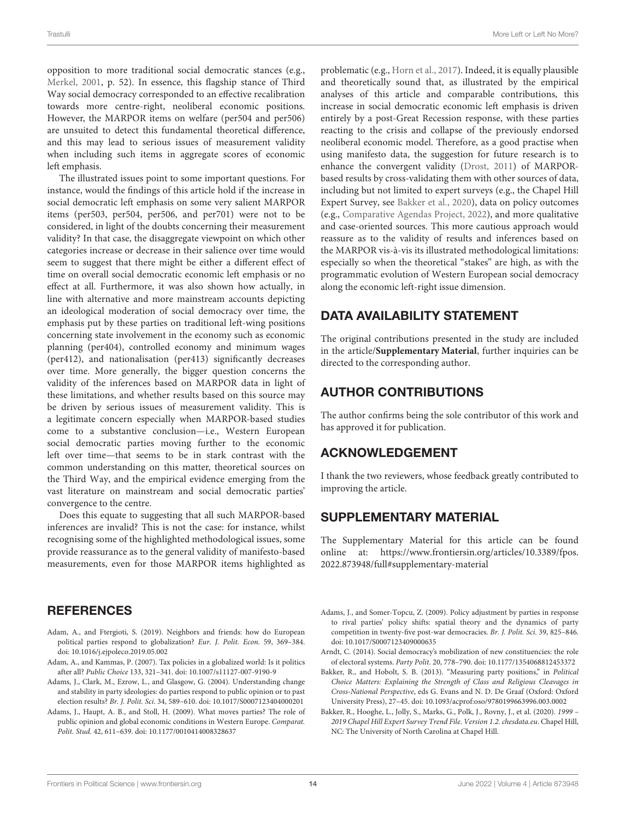opposition to more traditional social democratic stances (e.g., [Merkel, 2001,](#page-15-46) p. 52). In essence, this flagship stance of Third Way social democracy corresponded to an effective recalibration towards more centre-right, neoliberal economic positions. However, the MARPOR items on welfare (per504 and per506) are unsuited to detect this fundamental theoretical difference, and this may lead to serious issues of measurement validity when including such items in aggregate scores of economic left emphasis.

The illustrated issues point to some important questions. For instance, would the findings of this article hold if the increase in social democratic left emphasis on some very salient MARPOR items (per503, per504, per506, and per701) were not to be considered, in light of the doubts concerning their measurement validity? In that case, the disaggregate viewpoint on which other categories increase or decrease in their salience over time would seem to suggest that there might be either a different effect of time on overall social democratic economic left emphasis or no effect at all. Furthermore, it was also shown how actually, in line with alternative and more mainstream accounts depicting an ideological moderation of social democracy over time, the emphasis put by these parties on traditional left-wing positions concerning state involvement in the economy such as economic planning (per404), controlled economy and minimum wages (per412), and nationalisation (per413) significantly decreases over time. More generally, the bigger question concerns the validity of the inferences based on MARPOR data in light of these limitations, and whether results based on this source may be driven by serious issues of measurement validity. This is a legitimate concern especially when MARPOR-based studies come to a substantive conclusion—i.e., Western European social democratic parties moving further to the economic left over time—that seems to be in stark contrast with the common understanding on this matter, theoretical sources on the Third Way, and the empirical evidence emerging from the vast literature on mainstream and social democratic parties' convergence to the centre.

Does this equate to suggesting that all such MARPOR-based inferences are invalid? This is not the case: for instance, whilst recognising some of the highlighted methodological issues, some provide reassurance as to the general validity of manifesto-based measurements, even for those MARPOR items highlighted as

### **REFERENCES**

- <span id="page-13-2"></span>Adam, A., and Ftergioti, S. (2019). Neighbors and friends: how do European political parties respond to globalization? Eur. J. Polit. Econ. 59, 369–384. doi: [10.1016/j.ejpoleco.2019.05.002](https://doi.org/10.1016/j.ejpoleco.2019.05.002)
- <span id="page-13-4"></span>Adam, A., and Kammas, P. (2007). Tax policies in a globalized world: Is it politics after all? Public Choice 133, 321–341. doi: [10.1007/s11127-007-9190-9](https://doi.org/10.1007/s11127-007-9190-9)
- <span id="page-13-0"></span>Adams, J., Clark, M., Ezrow, L., and Glasgow, G. (2004). Understanding change and stability in party ideologies: do parties respond to public opinion or to past election results? Br. J. Polit. Sci. 34, 589–610. doi: [10.1017/S0007123404000201](https://doi.org/10.1017/S0007123404000201)
- <span id="page-13-3"></span>Adams, J., Haupt, A. B., and Stoll, H. (2009). What moves parties? The role of public opinion and global economic conditions in Western Europe. Comparat. Polit. Stud. 42, 611–639. doi: [10.1177/0010414008328637](https://doi.org/10.1177/0010414008328637)

problematic (e.g., [Horn et al., 2017\)](#page-14-39). Indeed, it is equally plausible and theoretically sound that, as illustrated by the empirical analyses of this article and comparable contributions, this increase in social democratic economic left emphasis is driven entirely by a post-Great Recession response, with these parties reacting to the crisis and collapse of the previously endorsed neoliberal economic model. Therefore, as a good practise when using manifesto data, the suggestion for future research is to enhance the convergent validity [\(Drost, 2011\)](#page-14-45) of MARPORbased results by cross-validating them with other sources of data, including but not limited to expert surveys (e.g., the Chapel Hill Expert Survey, see [Bakker et al., 2020\)](#page-13-8), data on policy outcomes (e.g., [Comparative Agendas Project, 2022\)](#page-14-46), and more qualitative and case-oriented sources. This more cautious approach would reassure as to the validity of results and inferences based on the MARPOR vis-à-vis its illustrated methodological limitations: especially so when the theoretical "stakes" are high, as with the programmatic evolution of Western European social democracy along the economic left-right issue dimension.

# DATA AVAILABILITY STATEMENT

The original contributions presented in the study are included in the article/**[Supplementary Material](#page-13-5)**, further inquiries can be directed to the corresponding author.

# AUTHOR CONTRIBUTIONS

The author confirms being the sole contributor of this work and has approved it for publication.

### ACKNOWLEDGEMENT

I thank the two reviewers, whose feedback greatly contributed to improving the article.

# SUPPLEMENTARY MATERIAL

<span id="page-13-5"></span>The Supplementary Material for this article can be found [online at: https://www.frontiersin.org/articles/10.3389/fpos.](https://www.frontiersin.org/articles/10.3389/fpos.2022.873948/full#supplementary-material) 2022.873948/full#supplementary-material

- <span id="page-13-7"></span>Adams, J., and Somer-Topcu, Z. (2009). Policy adjustment by parties in response to rival parties' policy shifts: spatial theory and the dynamics of party competition in twenty-five post-war democracies. Br. J. Polit. Sci. 39, 825–846. doi: [10.1017/S0007123409000635](https://doi.org/10.1017/S0007123409000635)
- <span id="page-13-1"></span>Arndt, C. (2014). Social democracy's mobilization of new constituencies: the role of electoral systems. Party Polit. 20, 778–790. doi: [10.1177/1354068812453372](https://doi.org/10.1177/1354068812453372)
- <span id="page-13-6"></span>Bakker, R., and Hobolt, S. B. (2013). "Measuring party positions," in Political Choice Matters: Explaining the Strength of Class and Religious Cleavages in Cross-National Perspective, eds G. Evans and N. D. De Graaf (Oxford: Oxford University Press), 27–45. doi: [10.1093/acprof:oso/9780199663996.003.0002](https://doi.org/10.1093/acprof:oso/9780199663996.003.0002)
- <span id="page-13-8"></span>Bakker, R., Hooghe, L., Jolly, S., Marks, G., Polk, J., Rovny, J., et al. (2020). 1999 – 2019 Chapel Hill Expert Survey Trend File. Version 1.2. chesdata.eu. Chapel Hill, NC: The University of North Carolina at Chapel Hill.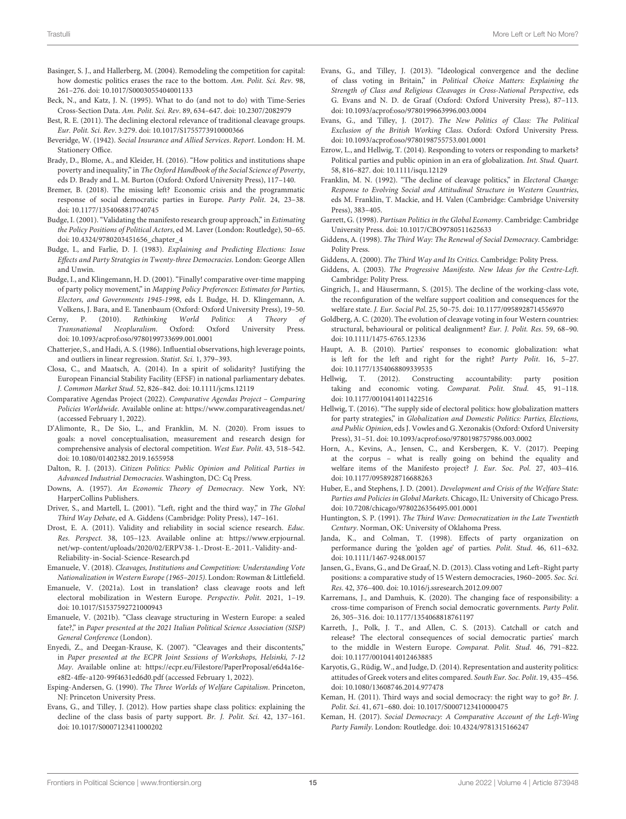- <span id="page-14-26"></span>Basinger, S. J., and Hallerberg, M. (2004). Remodeling the competition for capital: how domestic politics erases the race to the bottom. Am. Polit. Sci. Rev. 98, 261–276. doi: [10.1017/S0003055404001133](https://doi.org/10.1017/S0003055404001133)
- <span id="page-14-35"></span>Beck, N., and Katz, J. N. (1995). What to do (and not to do) with Time-Series Cross-Section Data. Am. Polit. Sci. Rev. 89, 634–647. doi: [10.2307/2082979](https://doi.org/10.2307/2082979)
- <span id="page-14-3"></span>Best, R. E. (2011). The declining electoral relevance of traditional cleavage groups. Eur. Polit. Sci. Rev. 3:279. doi: [10.1017/S1755773910000366](https://doi.org/10.1017/S1755773910000366)
- <span id="page-14-36"></span>Beveridge, W. (1942). Social Insurance and Allied Services. Report. London: H. M. Stationery Office.
- <span id="page-14-33"></span>Brady, D., Blome, A., and Kleider, H. (2016). "How politics and institutions shape poverty and inequality," in The Oxford Handbook of the Social Science of Poverty, eds D. Brady and L. M. Burton (Oxford: Oxford University Press), 117–140.
- <span id="page-14-25"></span>Bremer, B. (2018). The missing left? Economic crisis and the programmatic response of social democratic parties in Europe. Party Polit. 24, 23–38. doi: [10.1177/1354068817740745](https://doi.org/10.1177/1354068817740745)
- <span id="page-14-41"></span>Budge, I. (2001). "Validating the manifesto research group approach," in Estimating the Policy Positions of Political Actors, ed M. Laver (London: Routledge), 50–65. doi: [10.4324/9780203451656\\_chapter\\_4](https://doi.org/10.4324/9780203451656_chapter_4)
- <span id="page-14-31"></span>Budge, I., and Farlie, D. J. (1983). Explaining and Predicting Elections: Issue Effects and Party Strategies in Twenty-three Democracies. London: George Allen and Unwin.
- <span id="page-14-32"></span>Budge, I., and Klingemann, H. D. (2001). "Finally! comparative over-time mapping of party policy movement," in Mapping Policy Preferences: Estimates for Parties, Electors, and Governments 1945-1998, eds I. Budge, H. D. Klingemann, A. Volkens, J. Bara, and E. Tanenbaum (Oxford: Oxford University Press), 19–50.
- <span id="page-14-19"></span>Cerny, P. (2010). Rethinking World Politics: A Theory of Transnational Neopluralism. Oxford: Oxford University Press. doi: [10.1093/acprof:oso/9780199733699.001.0001](https://doi.org/10.1093/acprof:oso/9780199733699.001.0001)
- <span id="page-14-37"></span>Chatterjee, S., and Hadi, A. S. (1986). Influential observations, high leverage points, and outliers in linear regression. Statist. Sci. 1, 379–393.
- <span id="page-14-16"></span>Closa, C., and Maatsch, A. (2014). In a spirit of solidarity? Justifying the European Financial Stability Facility (EFSF) in national parliamentary debates. J. Common Market Stud. 52, 826–842. doi: [10.1111/jcms.12119](https://doi.org/10.1111/jcms.12119)
- <span id="page-14-46"></span>Comparative Agendas Project (2022). Comparative Agendas Project – Comparing Policies Worldwide. Available online at:<https://www.comparativeagendas.net/> (accessed February 1, 2022).
- <span id="page-14-42"></span>D'Alimonte, R., De Sio, L., and Franklin, M. N. (2020). From issues to goals: a novel conceptualisation, measurement and research design for comprehensive analysis of electoral competition. West Eur. Polit. 43, 518–542. doi: [10.1080/01402382.2019.1655958](https://doi.org/10.1080/01402382.2019.1655958)
- <span id="page-14-2"></span>Dalton, R. J. (2013). Citizen Politics: Public Opinion and Political Parties in Advanced Industrial Democracies. Washington, DC: Cq Press.
- <span id="page-14-10"></span>Downs, A. (1957). An Economic Theory of Democracy. New York, NY: HarperCollins Publishers.
- <span id="page-14-43"></span>Driver, S., and Martell, L. (2001). "Left, right and the third way," in The Global Third Way Debate, ed A. Giddens (Cambridge: Polity Press), 147–161.
- <span id="page-14-45"></span>Drost, E. A. (2011). Validity and reliability in social science research. Educ. Res. Perspect. 38, 105–123. Available online at: [https://www.erpjournal.](https://www.erpjournal.net/wp-content/uploads/2020/02/ERPV38-1.-Drost-E.-2011.-Validity-and-Reliability-in-Social-Science-Research.pd) [net/wp-content/uploads/2020/02/ERPV38-1.-Drost-E.-2011.-Validity-and-](https://www.erpjournal.net/wp-content/uploads/2020/02/ERPV38-1.-Drost-E.-2011.-Validity-and-Reliability-in-Social-Science-Research.pd)[Reliability-in-Social-Science-Research.pd](https://www.erpjournal.net/wp-content/uploads/2020/02/ERPV38-1.-Drost-E.-2011.-Validity-and-Reliability-in-Social-Science-Research.pd)
- <span id="page-14-34"></span>Emanuele, V. (2018). Cleavages, Institutions and Competition: Understanding Vote Nationalization in Western Europe (1965–2015). London: Rowman & Littlefield.
- <span id="page-14-7"></span>Emanuele, V. (2021a). Lost in translation? class cleavage roots and left electoral mobilization in Western Europe. Perspectiv. Polit. 2021, 1–19. doi: [10.1017/S1537592721000943](https://doi.org/10.1017/S1537592721000943)
- <span id="page-14-29"></span>Emanuele, V. (2021b). "Class cleavage structuring in Western Europe: a sealed fate?," in Paper presented at the 2021 Italian Political Science Association (SISP) General Conference (London).
- <span id="page-14-28"></span>Enyedi, Z., and Deegan-Krause, K. (2007). "Cleavages and their discontents," in Paper presented at the ECPR Joint Sessions of Workshops, Helsinki, 7-12 May. Available online at: [https://ecpr.eu/Filestore/PaperProposal/e6d4a16e](https://ecpr.eu/Filestore/PaperProposal/e6d4a16e-e8f2-4ffe-a120-99f4631ed6d0.pdf)[e8f2-4ffe-a120-99f4631ed6d0.pdf](https://ecpr.eu/Filestore/PaperProposal/e6d4a16e-e8f2-4ffe-a120-99f4631ed6d0.pdf) (accessed February 1, 2022).
- <span id="page-14-40"></span>Esping-Andersen, G. (1990). The Three Worlds of Welfare Capitalism. Princeton, NJ: Princeton University Press.
- <span id="page-14-13"></span>Evans, G., and Tilley, J. (2012). How parties shape class politics: explaining the decline of the class basis of party support. Br. J. Polit. Sci. 42, 137–161. doi: [10.1017/S0007123411000202](https://doi.org/10.1017/S0007123411000202)
- <span id="page-14-0"></span>Evans, G., and Tilley, J. (2013). "Ideological convergence and the decline of class voting in Britain," in Political Choice Matters: Explaining the Strength of Class and Religious Cleavages in Cross-National Perspective, eds G. Evans and N. D. de Graaf (Oxford: Oxford University Press), 87–113. doi: [10.1093/acprof:oso/9780199663996.003.0004](https://doi.org/10.1093/acprof:oso/9780199663996.003.0004)
- <span id="page-14-15"></span>Evans, G., and Tilley, J. (2017). The New Politics of Class: The Political Exclusion of the British Working Class. Oxford: Oxford University Press. doi: [10.1093/acprof:oso/9780198755753.001.0001](https://doi.org/10.1093/acprof:oso/9780198755753.001.0001)
- <span id="page-14-21"></span>Ezrow, L., and Hellwig, T. (2014). Responding to voters or responding to markets? Political parties and public opinion in an era of globalization. Int. Stud. Quart. 58, 816–827. doi: [10.1111/isqu.12129](https://doi.org/10.1111/isqu.12129)
- <span id="page-14-5"></span>Franklin, M. N. (1992). "The decline of cleavage politics," in Electoral Change: Response to Evolving Social and Attitudinal Structure in Western Countries, eds M. Franklin, T. Mackie, and H. Valen (Cambridge: Cambridge University Press), 383–405.
- <span id="page-14-8"></span>Garrett, G. (1998). Partisan Politics in the Global Economy. Cambridge: Cambridge University Press. doi: [10.1017/CBO9780511625633](https://doi.org/10.1017/CBO9780511625633)
- <span id="page-14-1"></span>Giddens, A. (1998). The Third Way: The Renewal of Social Democracy. Cambridge: Polity Press.
- <span id="page-14-44"></span>Giddens, A. (2000). The Third Way and Its Critics. Cambridge: Polity Press.
- <span id="page-14-38"></span>Giddens, A. (2003). The Progressive Manifesto. New Ideas for the Centre-Left. Cambridge: Polity Press.
- <span id="page-14-4"></span>Gingrich, J., and Häusermann, S. (2015). The decline of the working-class vote, the reconfiguration of the welfare support coalition and consequences for the welfare state. J. Eur. Social Pol. 25, 50–75. doi: [10.1177/0958928714556970](https://doi.org/10.1177/0958928714556970)
- <span id="page-14-6"></span>Goldberg, A. C. (2020). The evolution of cleavage voting in four Western countries: structural, behavioural or political dealignment? Eur. J. Polit. Res. 59, 68–90. doi: [10.1111/1475-6765.12336](https://doi.org/10.1111/1475-6765.12336)
- <span id="page-14-23"></span>Haupt, A. B. (2010). Parties' responses to economic globalization: what is left for the left and right for the right? Party Polit. 16, 5–27. doi: [10.1177/1354068809339535](https://doi.org/10.1177/1354068809339535)
- <span id="page-14-20"></span>Hellwig, T. (2012). Constructing accountability: party position taking and economic voting. Comparat. Polit. Stud. 45, 91–118. doi: [10.1177/0010414011422516](https://doi.org/10.1177/0010414011422516)
- <span id="page-14-9"></span>Hellwig, T. (2016). "The supply side of electoral politics: how globalization matters for party strategies," in Globalization and Domestic Politics: Parties, Elections, and Public Opinion, eds J. Vowles and G. Xezonakis (Oxford: Oxford University Press), 31–51. doi: [10.1093/acprof:oso/9780198757986.003.0002](https://doi.org/10.1093/acprof:oso/9780198757986.003.0002)
- <span id="page-14-39"></span>Horn, A., Kevins, A., Jensen, C., and Kersbergen, K. V. (2017). Peeping at the corpus – what is really going on behind the equality and welfare items of the Manifesto project? J. Eur. Soc. Pol. 27, 403–416. doi: [10.1177/0958928716688263](https://doi.org/10.1177/0958928716688263)
- <span id="page-14-24"></span>Huber, E., and Stephens, J. D. (2001). Development and Crisis of the Welfare State: Parties and Policies in Global Markets. Chicago, IL: University of Chicago Press. doi: [10.7208/chicago/9780226356495.001.0001](https://doi.org/10.7208/chicago/9780226356495.001.0001)
- <span id="page-14-27"></span>Huntington, S. P. (1991). The Third Wave: Democratization in the Late Twentieth Century. Norman, OK: University of Oklahoma Press.
- <span id="page-14-30"></span>Janda, K., and Colman, T. (1998). Effects of party organization on performance during the 'golden age' of parties. Polit. Stud. 46, 611–632. doi: [10.1111/1467-9248.00157](https://doi.org/10.1111/1467-9248.00157)
- <span id="page-14-22"></span>Jansen, G., Evans, G., and De Graaf, N. D. (2013). Class voting and Left–Right party positions: a comparative study of 15 Western democracies, 1960–2005. Soc. Sci. Res. 42, 376–400. doi: [10.1016/j.ssresearch.2012.09.007](https://doi.org/10.1016/j.ssresearch.2012.09.007)
- <span id="page-14-18"></span>Karremans, J., and Damhuis, K. (2020). The changing face of responsibility: a cross-time comparison of French social democratic governments. Party Polit. 26, 305–316. doi: [10.1177/1354068818761197](https://doi.org/10.1177/1354068818761197)
- <span id="page-14-14"></span>Karreth, J., Polk, J. T., and Allen, C. S. (2013). Catchall or catch and release? The electoral consequences of social democratic parties' march to the middle in Western Europe. Comparat. Polit. Stud. 46, 791–822. doi: [10.1177/0010414012463885](https://doi.org/10.1177/0010414012463885)
- <span id="page-14-17"></span>Karyotis, G., Rüdig, W., and Judge, D. (2014). Representation and austerity politics: attitudes of Greek voters and elites compared. South Eur. Soc. Polit. 19, 435–456. doi: [10.1080/13608746.2014.977478](https://doi.org/10.1080/13608746.2014.977478)
- <span id="page-14-12"></span>Keman, H. (2011). Third ways and social democracy: the right way to go? Br. J. Polit. Sci. 41, 671–680. doi: [10.1017/S0007123410000475](https://doi.org/10.1017/S0007123410000475)
- <span id="page-14-11"></span>Keman, H. (2017). Social Democracy: A Comparative Account of the Left-Wing Party Family. London: Routledge. doi: [10.4324/9781315166247](https://doi.org/10.4324/9781315166247)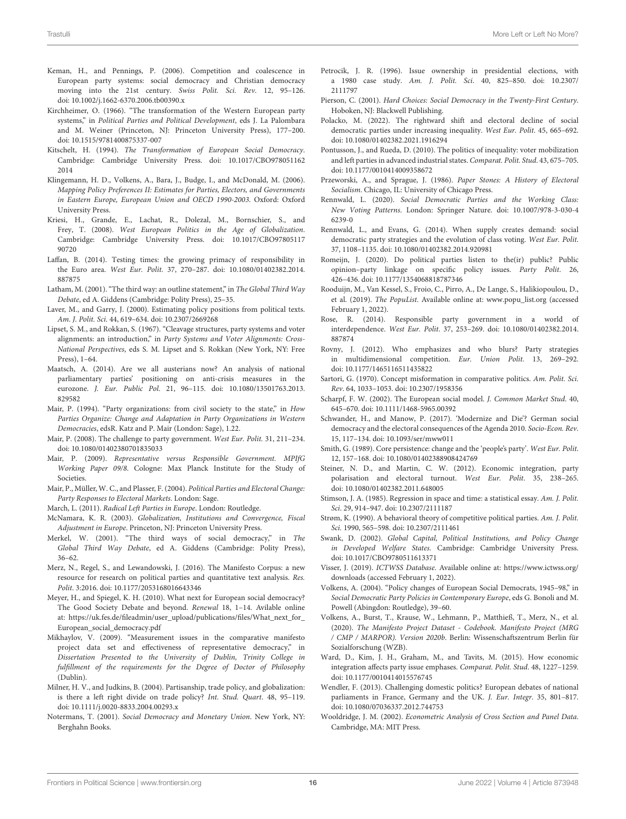- <span id="page-15-1"></span>Keman, H., and Pennings, P. (2006). Competition and coalescence in European party systems: social democracy and Christian democracy moving into the 21st century. Swiss Polit. Sci. Rev. 12, 95–126. doi: [10.1002/j.1662-6370.2006.tb00390.x](https://doi.org/10.1002/j.1662-6370.2006.tb00390.x)
- <span id="page-15-3"></span>Kirchheimer, O. (1966). "The transformation of the Western European party systems," in Political Parties and Political Development, eds J. La Palombara and M. Weiner (Princeton, NJ: Princeton University Press), 177–200. doi: [10.1515/9781400875337-007](https://doi.org/10.1515/9781400875337-007)
- <span id="page-15-4"></span>Kitschelt, H. (1994). The Transformation of European Social Democracy. [Cambridge: Cambridge University Press. doi: 10.1017/CBO978051162](https://doi.org/10.1017/CBO9780511622014) 2014
- <span id="page-15-40"></span>Klingemann, H. D., Volkens, A., Bara, J., Budge, I., and McDonald, M. (2006). Mapping Policy Preferences II: Estimates for Parties, Electors, and Governments in Eastern Europe, European Union and OECD 1990-2003. Oxford: Oxford University Press.
- <span id="page-15-25"></span>Kriesi, H., Grande, E., Lachat, R., Dolezal, M., Bornschier, S., and Frey, T. (2008). West European Politics in the Age of Globalization. [Cambridge: Cambridge University Press. doi: 10.1017/CBO97805117](https://doi.org/10.1017/CBO9780511790720) 90720
- <span id="page-15-18"></span>Laffan, B. (2014). Testing times: the growing primacy of responsibility in the Euro area. West Eur. Polit[. 37, 270–287. doi: 10.1080/01402382.2014.](https://doi.org/10.1080/01402382.2014.887875) 887875
- <span id="page-15-45"></span>Latham, M. (2001). "The third way: an outline statement," in The Global Third Way Debate, ed A. Giddens (Cambridge: Polity Press), 25–35.
- <span id="page-15-31"></span>Laver, M., and Garry, J. (2000). Estimating policy positions from political texts. Am. J. Polit. Sci. 44, 619–634. doi: [10.2307/2669268](https://doi.org/10.2307/2669268)
- <span id="page-15-30"></span>Lipset, S. M., and Rokkan, S. (1967). "Cleavage structures, party systems and voter alignments: an introduction," in Party Systems and Voter Alignments: Cross-National Perspectives, eds S. M. Lipset and S. Rokkan (New York, NY: Free Press), 1–64.
- <span id="page-15-15"></span>Maatsch, A. (2014). Are we all austerians now? An analysis of national parliamentary parties' positioning on anti-crisis measures in the eurozone. J. Eur. Public Pol[. 21, 96–115. doi: 10.1080/13501763.2013.](https://doi.org/10.1080/13501763.2013.829582) 829582
- <span id="page-15-29"></span>Mair, P. (1994). "Party organizations: from civil society to the state," in How Parties Organize: Change and Adaptation in Party Organizations in Western Democracies, edsR. Katz and P. Mair (London: Sage), 1.22.
- <span id="page-15-10"></span>Mair, P. (2008). The challenge to party government. West Eur. Polit. 31, 211–234. doi: [10.1080/01402380701835033](https://doi.org/10.1080/01402380701835033)
- <span id="page-15-7"></span>Mair, P. (2009). Representative versus Responsible Government. MPIfG Working Paper 09/8. Cologne: Max Planck Institute for the Study of **Societies**.
- <span id="page-15-2"></span>Mair, P., Müller, W. C., and Plasser, F. (2004). Political Parties and Electoral Change: Party Responses to Electoral Markets. London: Sage.
- <span id="page-15-32"></span>March, L. (2011). Radical Left Parties in Europe. London: Routledge.
- <span id="page-15-22"></span>McNamara, K. R. (2003). Globalization, Institutions and Convergence, Fiscal Adjustment in Europe. Princeton, NJ: Princeton University Press.
- <span id="page-15-46"></span>Merkel, W. (2001). "The third ways of social democracy," in The Global Third Way Debate, ed A. Giddens (Cambridge: Polity Press), 36–62.
- <span id="page-15-39"></span>Merz, N., Regel, S., and Lewandowski, J. (2016). The Manifesto Corpus: a new resource for research on political parties and quantitative text analysis. Res. Polit. 3:2016. doi: [10.1177/2053168016643346](https://doi.org/10.1177/2053168016643346)
- <span id="page-15-9"></span>Meyer, H., and Spiegel, K. H. (2010). What next for European social democracy? The Good Society Debate and beyond. Renewal 18, 1–14. Avilable online at: [https://uk.fes.de/fileadmin/user\\_upload/publications/files/What\\_next\\_for\\_](https://uk.fes.de/fileadmin/user_upload/publications/files/What_next_for_European_social_democracy.pdf) [European\\_social\\_democracy.pdf](https://uk.fes.de/fileadmin/user_upload/publications/files/What_next_for_European_social_democracy.pdf)
- <span id="page-15-41"></span>Mikhaylov, V. (2009). "Measurement issues in the comparative manifesto project data set and effectiveness of representative democracy," in Dissertation Presented to the University of Dublin, Trinity College in fulfillment of the requirements for the Degree of Doctor of Philosophy (Dublin).
- <span id="page-15-27"></span>Milner, H. V., and Judkins, B. (2004). Partisanship, trade policy, and globalization: is there a left right divide on trade policy? Int. Stud. Quart. 48, 95–119. doi: [10.1111/j.0020-8833.2004.00293.x](https://doi.org/10.1111/j.0020-8833.2004.00293.x)
- <span id="page-15-20"></span>Notermans, T. (2001). Social Democracy and Monetary Union. New York, NY: Berghahn Books.
- <span id="page-15-24"></span>Petrocik, J. R. (1996). Issue ownership in presidential elections, with a 1980 case study. Am. J. Polit. Sci[. 40, 825–850. doi: 10.2307/](https://doi.org/10.2307/2111797) 2111797
- <span id="page-15-35"></span>Pierson, C. (2001). Hard Choices: Social Democracy in the Twenty-First Century. Hoboken, NJ: Blackwell Publishing.
- <span id="page-15-8"></span>Polacko, M. (2022). The rightward shift and electoral decline of social democratic parties under increasing inequality. West Eur. Polit. 45, 665–692. doi: [10.1080/01402382.2021.1916294](https://doi.org/10.1080/01402382.2021.1916294)
- <span id="page-15-33"></span>Pontusson, J., and Rueda, D. (2010). The politics of inequality: voter mobilization and left parties in advanced industrial states. Comparat. Polit. Stud. 43, 675–705. doi: [10.1177/0010414009358672](https://doi.org/10.1177/0010414009358672)
- <span id="page-15-0"></span>Przeworski, A., and Sprague, J. (1986). Paper Stones: A History of Electoral Socialism. Chicago, IL: University of Chicago Press.
- <span id="page-15-6"></span>Rennwald, L. (2020). Social Democratic Parties and the Working Class: New Voting Patterns[. London: Springer Nature. doi: 10.1007/978-3-030-4](https://doi.org/10.1007/978-3-030-46239-0) 6239-0
- <span id="page-15-5"></span>Rennwald, L., and Evans, G. (2014). When supply creates demand: social democratic party strategies and the evolution of class voting. West Eur. Polit. 37, 1108–1135. doi: [10.1080/01402382.2014.920981](https://doi.org/10.1080/01402382.2014.920981)
- <span id="page-15-16"></span>Romeijn, J. (2020). Do political parties listen to the(ir) public? Public opinion–party linkage on specific policy issues. Party Polit. 26, 426–436. doi: [10.1177/1354068818787346](https://doi.org/10.1177/1354068818787346)
- <span id="page-15-34"></span>Rooduijn, M., Van Kessel, S., Froio, C., Pirro, A., De Lange, S., Halikiopoulou, D., et al. (2019). The PopuList. Available online at: [www.popu\\_list.org](https://popu-list.org/) (accessed February 1, 2022).
- <span id="page-15-17"></span>Rose, R. (2014). Responsible party government in a world of interdependence. West Eur. Polit[. 37, 253–269. doi: 10.1080/01402382.2014.](https://doi.org/10.1080/01402382.2014.887874) 887874
- <span id="page-15-44"></span>Rovny, J. (2012). Who emphasizes and who blurs? Party strategies in multidimensional competition. Eur. Union Polit. 13, 269–292. doi: [10.1177/1465116511435822](https://doi.org/10.1177/1465116511435822)
- <span id="page-15-43"></span>Sartori, G. (1970). Concept misformation in comparative politics. Am. Polit. Sci. Rev. 64, 1033–1053. doi: [10.2307/1958356](https://doi.org/10.2307/1958356)
- <span id="page-15-21"></span>Scharpf, F. W. (2002). The European social model. J. Common Market Stud. 40, 645–670. doi: [10.1111/1468-5965.00392](https://doi.org/10.1111/1468-5965.00392)
- <span id="page-15-13"></span>Schwander, H., and Manow, P. (2017). 'Modernize and Die'? German social democracy and the electoral consequences of the Agenda 2010. Socio-Econ. Rev. 15, 117–134. doi: [10.1093/ser/mww011](https://doi.org/10.1093/ser/mww011)
- <span id="page-15-12"></span>Smith, G. (1989). Core persistence: change and the 'people's party'. West Eur. Polit. 12, 157–168. doi: [10.1080/01402388908424769](https://doi.org/10.1080/01402388908424769)
- <span id="page-15-23"></span>Steiner, N. D., and Martin, C. W. (2012). Economic integration, party polarisation and electoral turnout. West Eur. Polit. 35, 238–265. doi: [10.1080/01402382.2011.648005](https://doi.org/10.1080/01402382.2011.648005)
- <span id="page-15-37"></span>Stimson, J. A. (1985). Regression in space and time: a statistical essay. Am. J. Polit. Sci. 29, 914–947. doi: [10.2307/2111187](https://doi.org/10.2307/2111187)
- <span id="page-15-11"></span>Strøm, K. (1990). A behavioral theory of competitive political parties. Am. J. Polit. Sci. 1990, 565–598. doi: [10.2307/2111461](https://doi.org/10.2307/2111461)
- <span id="page-15-26"></span>Swank, D. (2002). Global Capital, Political Institutions, and Policy Change in Developed Welfare States. Cambridge: Cambridge University Press. doi: [10.1017/CBO9780511613371](https://doi.org/10.1017/CBO9780511613371)
- <span id="page-15-36"></span>Visser, J. (2019). ICTWSS Database. Available online at: [https://www.ictwss.org/](https://www.ictwss.org/downloads) [downloads](https://www.ictwss.org/downloads) (accessed February 1, 2022).
- <span id="page-15-28"></span>Volkens, A. (2004). "Policy changes of European Social Democrats, 1945–98," in Social Democratic Party Policies in Contemporary Europe, eds G. Bonoli and M. Powell (Abingdon: Routledge), 39–60.
- <span id="page-15-42"></span>Volkens, A., Burst, T., Krause, W., Lehmann, P., Matthieß, T., Merz, N., et al. (2020). The Manifesto Project Dataset - Codebook. Manifesto Project (MRG / CMP / MARPOR). Version 2020b. Berlin: Wissenschaftszentrum Berlin für Sozialforschung (WZB).
- <span id="page-15-19"></span>Ward, D., Kim, J. H., Graham, M., and Tavits, M. (2015). How economic integration affects party issue emphases. Comparat. Polit. Stud. 48, 1227–1259. doi: [10.1177/0010414015576745](https://doi.org/10.1177/0010414015576745)
- <span id="page-15-14"></span>Wendler, F. (2013). Challenging domestic politics? European debates of national parliaments in France, Germany and the UK. J. Eur. Integr. 35, 801–817. doi: [10.1080/07036337.2012.744753](https://doi.org/10.1080/07036337.2012.744753)
- <span id="page-15-38"></span>Wooldridge, J. M. (2002). Econometric Analysis of Cross Section and Panel Data. Cambridge, MA: MIT Press.